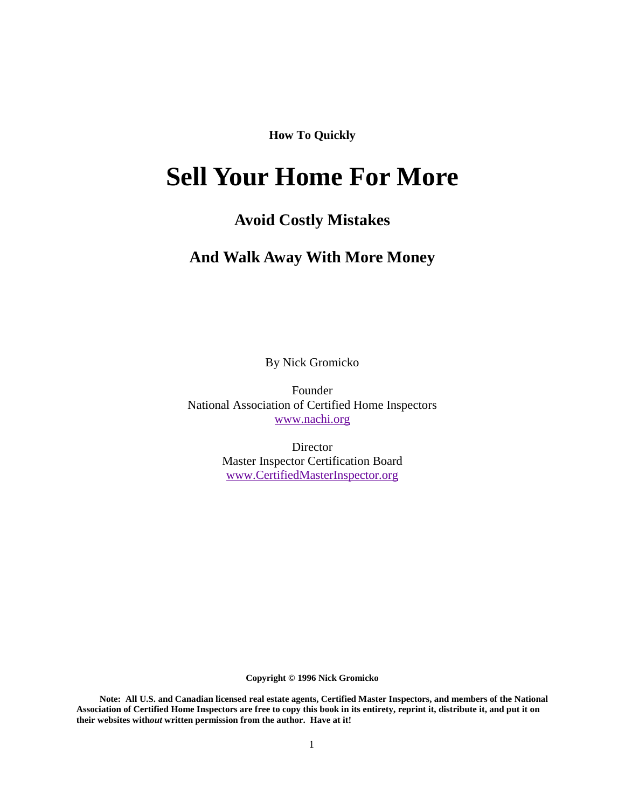**How To Quickly** 

# **Sell Your Home For More**

# **Avoid Costly Mistakes**

# **And Walk Away With More Money**

By Nick Gromicko

Founder National Association of Certified Home Inspectors www.nachi.org

> Director Master Inspector Certification Board www.CertifiedMasterInspector.org

> > **Copyright © 1996 Nick Gromicko**

 **Note: All U.S. and Canadian licensed real estate agents, Certified Master Inspectors, and members of the National Association of Certified Home Inspectors are free to copy this book in its entirety, reprint it, distribute it, and put it on their websites with***out* **written permission from the author. Have at it!**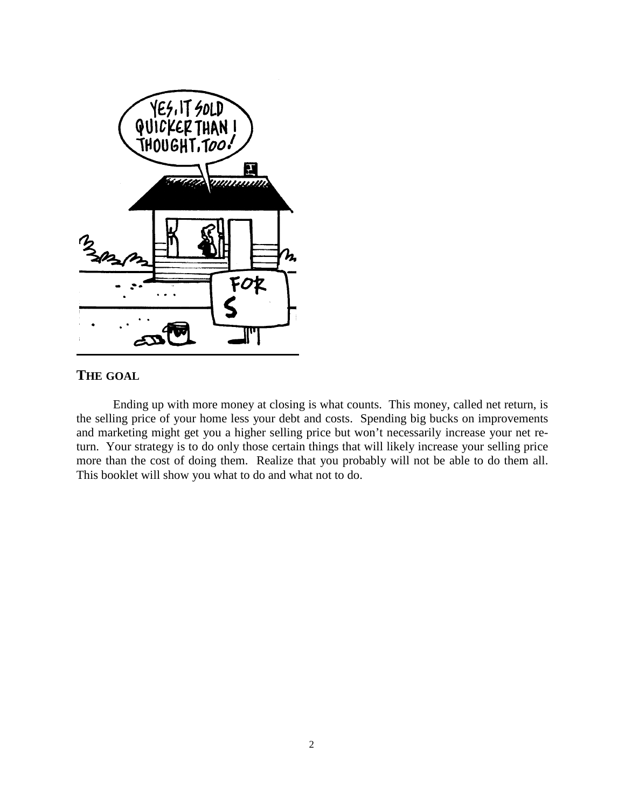

### **THE GOAL**

 Ending up with more money at closing is what counts. This money, called net return, is the selling price of your home less your debt and costs. Spending big bucks on improvements and marketing might get you a higher selling price but won't necessarily increase your net return. Your strategy is to do only those certain things that will likely increase your selling price more than the cost of doing them. Realize that you probably will not be able to do them all. This booklet will show you what to do and what not to do.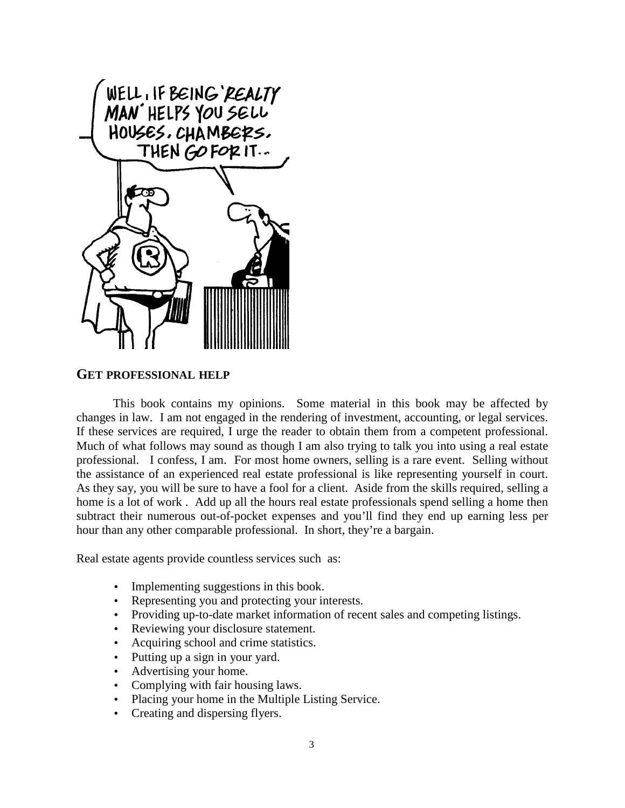

### **GET PROFESSIONAL HELP**

 This book contains my opinions. Some material in this book may be affected by changes in law. I am not engaged in the rendering of investment, accounting, or legal services. If these services are required, I urge the reader to obtain them from a competent professional. Much of what follows may sound as though I am also trying to talk you into using a real estate professional. I confess, I am. For most home owners, selling is a rare event. Selling without the assistance of an experienced real estate professional is like representing yourself in court. As they say, you will be sure to have a fool for a client. Aside from the skills required, selling a home is a lot of work . Add up all the hours real estate professionals spend selling a home then subtract their numerous out-of-pocket expenses and you'll find they end up earning less per hour than any other comparable professional. In short, they're a bargain.

Real estate agents provide countless services such as:

- Implementing suggestions in this book.
- Representing you and protecting your interests.
- Providing up-to-date market information of recent sales and competing listings.
- Reviewing your disclosure statement.
- Acquiring school and crime statistics.
- Putting up a sign in your yard.
- Advertising your home.
- Complying with fair housing laws.
- Placing your home in the Multiple Listing Service.
- Creating and dispersing flyers.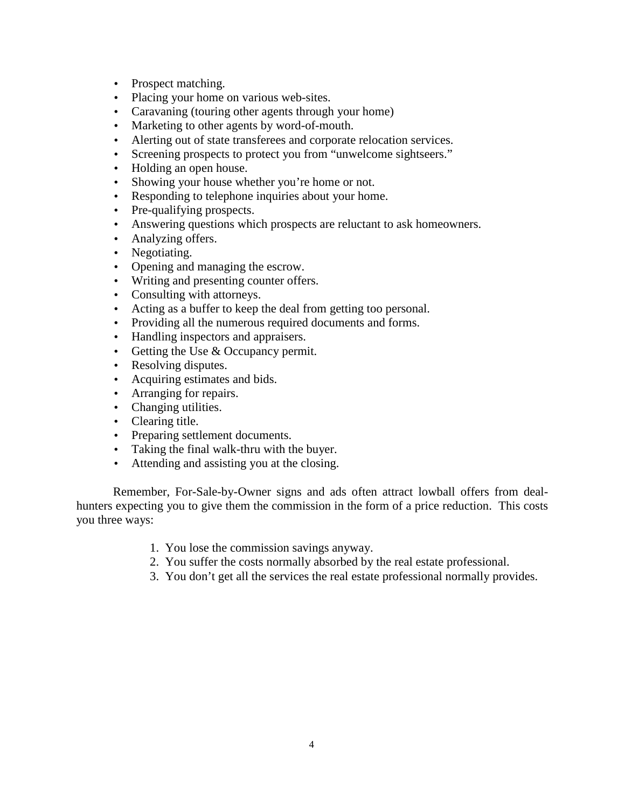- Prospect matching.
- Placing your home on various web-sites.
- Caravaning (touring other agents through your home)
- Marketing to other agents by word-of-mouth.
- Alerting out of state transferees and corporate relocation services.
- Screening prospects to protect you from "unwelcome sightseers."
- Holding an open house.
- Showing your house whether you're home or not.
- Responding to telephone inquiries about your home.
- Pre-qualifying prospects.
- Answering questions which prospects are reluctant to ask homeowners.
- Analyzing offers.
- Negotiating.
- Opening and managing the escrow.
- Writing and presenting counter offers.
- Consulting with attorneys.
- Acting as a buffer to keep the deal from getting too personal.
- Providing all the numerous required documents and forms.
- Handling inspectors and appraisers.
- Getting the Use & Occupancy permit.
- Resolving disputes.
- Acquiring estimates and bids.
- Arranging for repairs.
- Changing utilities.
- Clearing title.
- Preparing settlement documents.
- Taking the final walk-thru with the buyer.
- Attending and assisting you at the closing.

 Remember, For-Sale-by-Owner signs and ads often attract lowball offers from dealhunters expecting you to give them the commission in the form of a price reduction. This costs you three ways:

- 1. You lose the commission savings anyway.
- 2. You suffer the costs normally absorbed by the real estate professional.
- 3. You don't get all the services the real estate professional normally provides.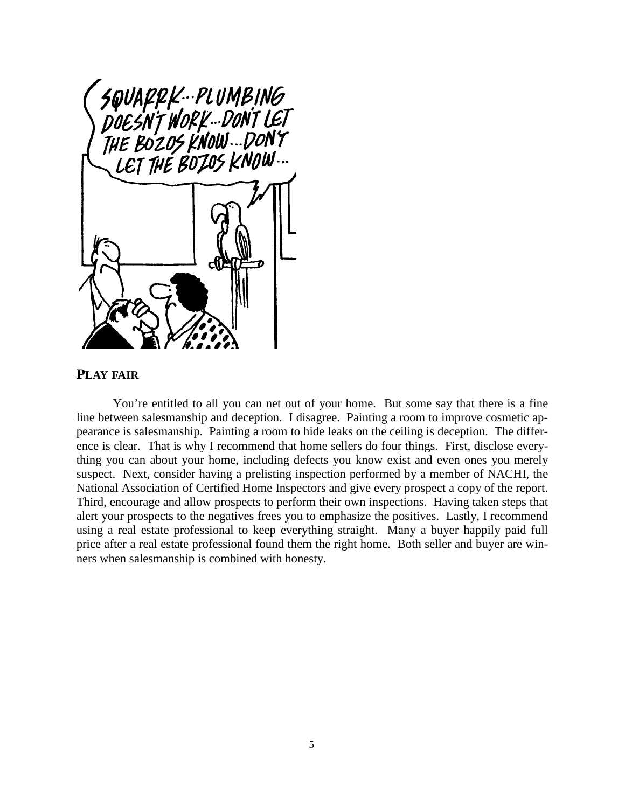

### **PLAY FAIR**

 You're entitled to all you can net out of your home. But some say that there is a fine line between salesmanship and deception. I disagree. Painting a room to improve cosmetic appearance is salesmanship. Painting a room to hide leaks on the ceiling is deception. The difference is clear. That is why I recommend that home sellers do four things. First, disclose everything you can about your home, including defects you know exist and even ones you merely suspect. Next, consider having a prelisting inspection performed by a member of NACHI, the National Association of Certified Home Inspectors and give every prospect a copy of the report. Third, encourage and allow prospects to perform their own inspections. Having taken steps that alert your prospects to the negatives frees you to emphasize the positives. Lastly, I recommend using a real estate professional to keep everything straight. Many a buyer happily paid full price after a real estate professional found them the right home. Both seller and buyer are winners when salesmanship is combined with honesty.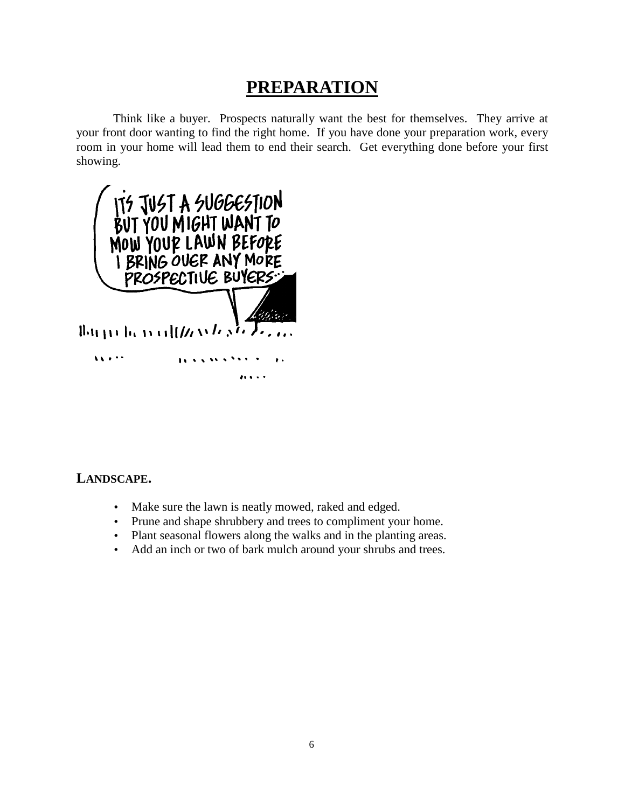# **PREPARATION**

 Think like a buyer. Prospects naturally want the best for themselves. They arrive at your front door wanting to find the right home. If you have done your preparation work, every room in your home will lead them to end their search. Get everything done before your first showing.



## **LANDSCAPE.**

- Make sure the lawn is neatly mowed, raked and edged.
- Prune and shape shrubbery and trees to compliment your home.
- Plant seasonal flowers along the walks and in the planting areas.
- Add an inch or two of bark mulch around your shrubs and trees.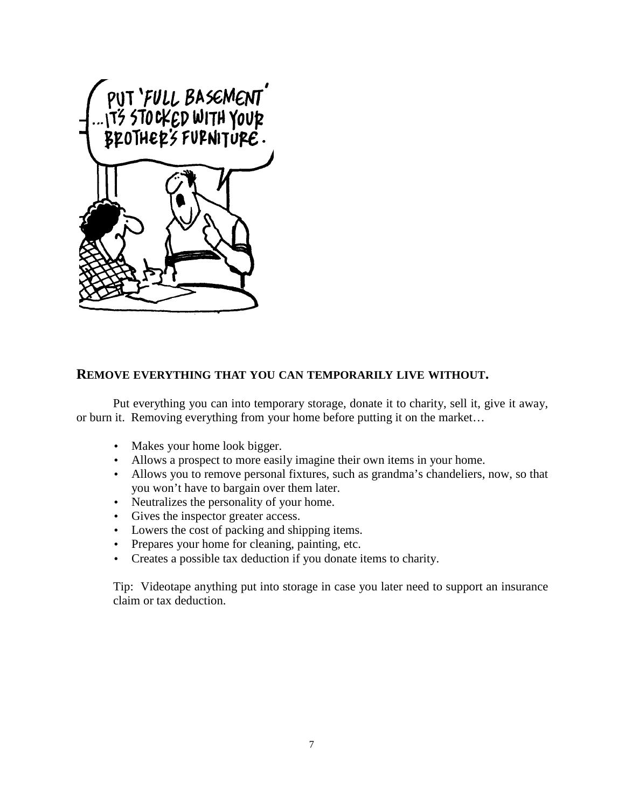

### **REMOVE EVERYTHING THAT YOU CAN TEMPORARILY LIVE WITHOUT.**

 Put everything you can into temporary storage, donate it to charity, sell it, give it away, or burn it. Removing everything from your home before putting it on the market…

- Makes your home look bigger.
- Allows a prospect to more easily imagine their own items in your home.
- Allows you to remove personal fixtures, such as grandma's chandeliers, now, so that you won't have to bargain over them later.
- Neutralizes the personality of your home.
- Gives the inspector greater access.
- Lowers the cost of packing and shipping items.
- Prepares your home for cleaning, painting, etc.
- Creates a possible tax deduction if you donate items to charity.

Tip: Videotape anything put into storage in case you later need to support an insurance claim or tax deduction.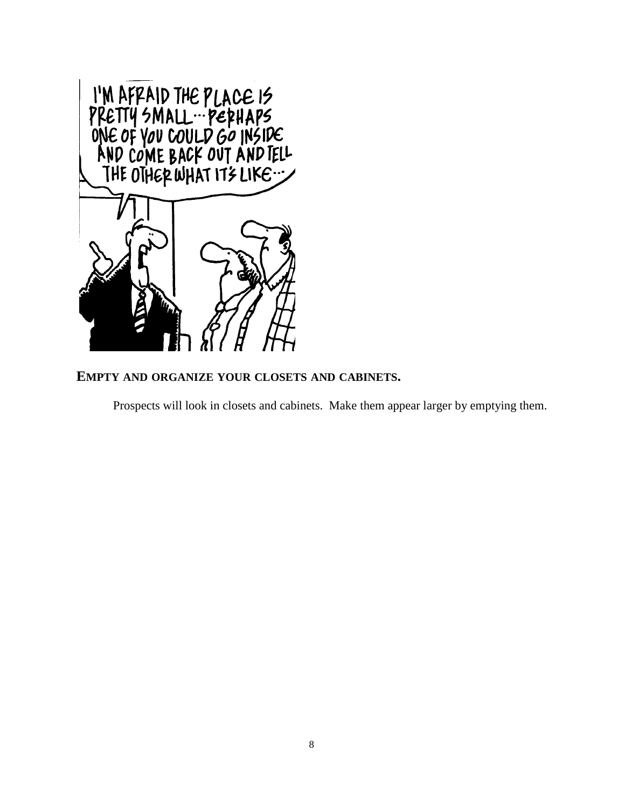

### **EMPTY AND ORGANIZE YOUR CLOSETS AND CABINETS.**

Prospects will look in closets and cabinets. Make them appear larger by emptying them.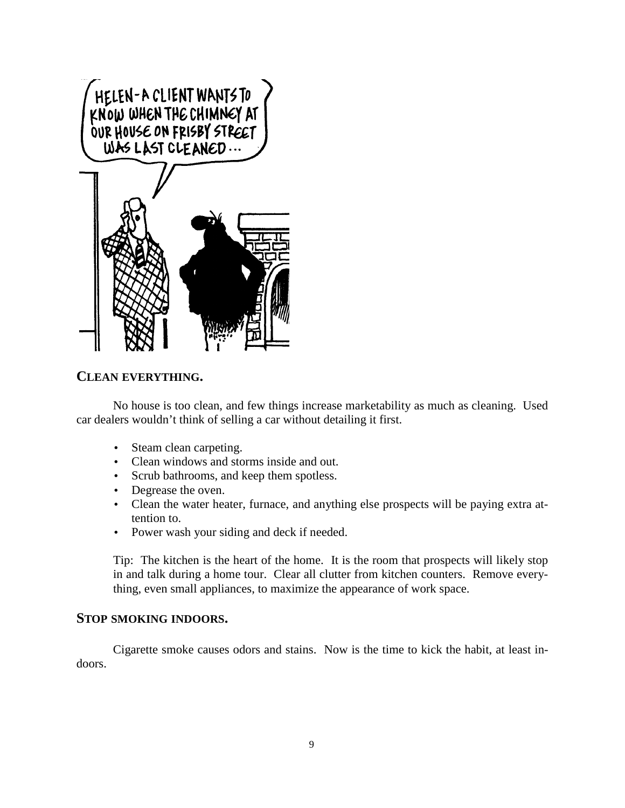

### **CLEAN EVERYTHING.**

 No house is too clean, and few things increase marketability as much as cleaning. Used car dealers wouldn't think of selling a car without detailing it first.

- Steam clean carpeting.
- Clean windows and storms inside and out.
- Scrub bathrooms, and keep them spotless.
- Degrease the oven.
- Clean the water heater, furnace, and anything else prospects will be paying extra attention to.
- Power wash your siding and deck if needed.

Tip: The kitchen is the heart of the home. It is the room that prospects will likely stop in and talk during a home tour. Clear all clutter from kitchen counters. Remove everything, even small appliances, to maximize the appearance of work space.

### **STOP SMOKING INDOORS.**

Cigarette smoke causes odors and stains. Now is the time to kick the habit, at least indoors.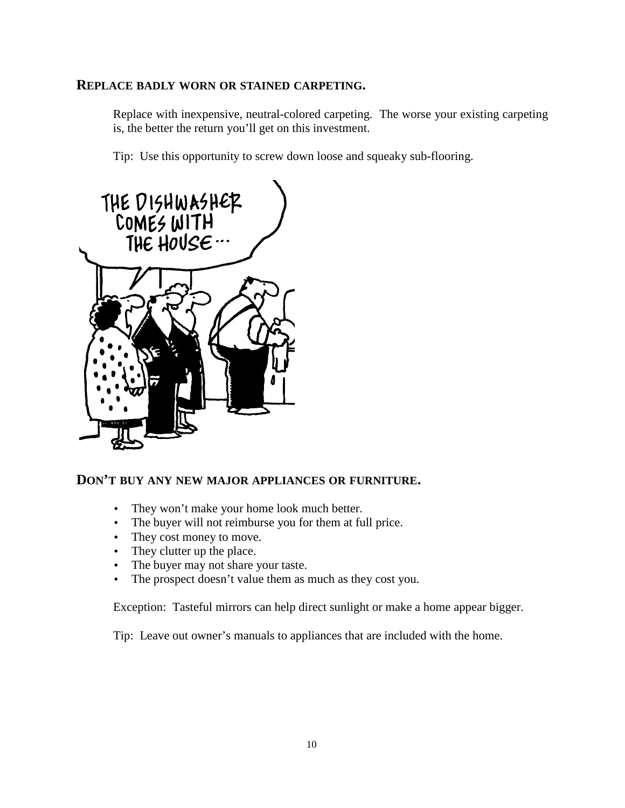### **REPLACE BADLY WORN OR STAINED CARPETING.**

Replace with inexpensive, neutral-colored carpeting. The worse your existing carpeting is, the better the return you'll get on this investment.

Tip: Use this opportunity to screw down loose and squeaky sub-flooring.



### **DON'T BUY ANY NEW MAJOR APPLIANCES OR FURNITURE.**

- They won't make your home look much better.
- The buyer will not reimburse you for them at full price.
- They cost money to move.
- They clutter up the place.
- The buyer may not share your taste.
- The prospect doesn't value them as much as they cost you.

Exception: Tasteful mirrors can help direct sunlight or make a home appear bigger.

Tip: Leave out owner's manuals to appliances that are included with the home.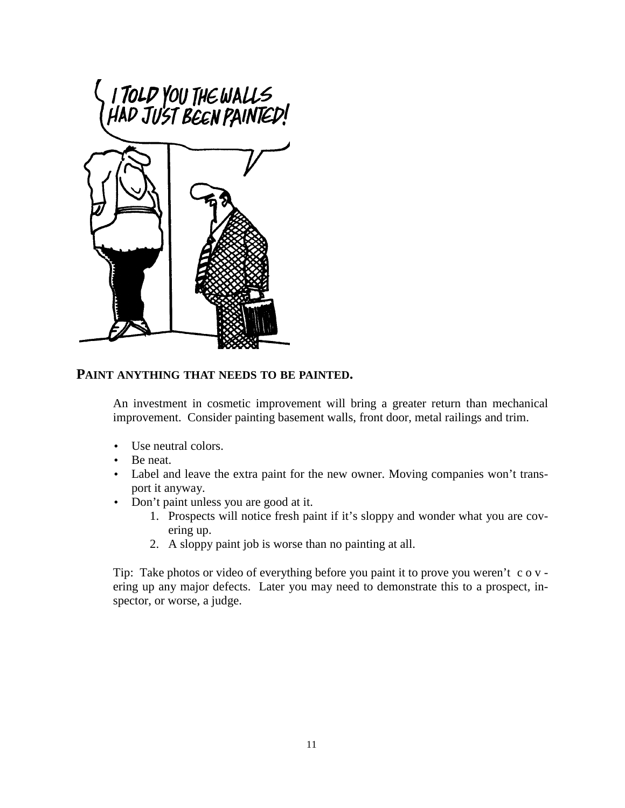

### **PAINT ANYTHING THAT NEEDS TO BE PAINTED.**

 An investment in cosmetic improvement will bring a greater return than mechanical improvement. Consider painting basement walls, front door, metal railings and trim.

- Use neutral colors.
- Be neat.
- Label and leave the extra paint for the new owner. Moving companies won't transport it anyway.
- Don't paint unless you are good at it.
	- 1. Prospects will notice fresh paint if it's sloppy and wonder what you are covering up.
	- 2. A sloppy paint job is worse than no painting at all.

Tip: Take photos or video of everything before you paint it to prove you weren't c o v ering up any major defects. Later you may need to demonstrate this to a prospect, inspector, or worse, a judge.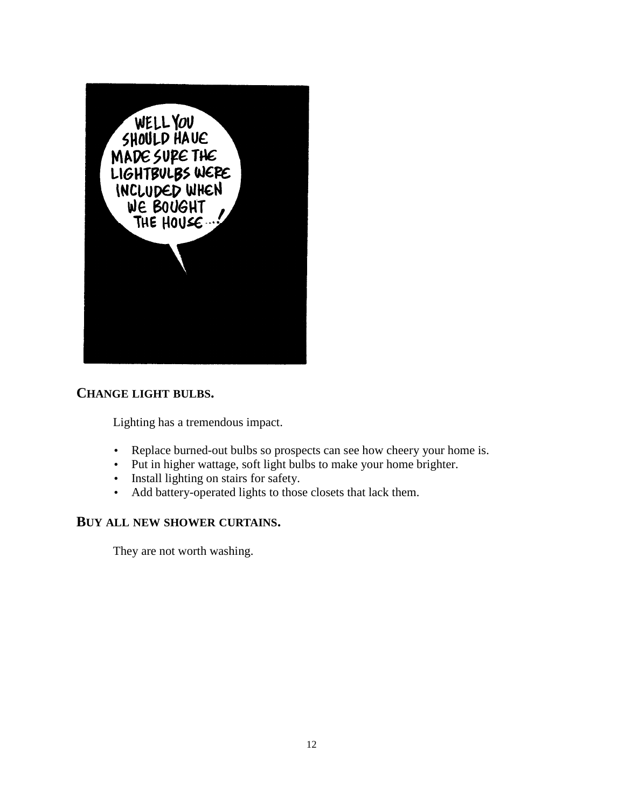

### **CHANGE LIGHT BULBS.**

Lighting has a tremendous impact.

- Replace burned-out bulbs so prospects can see how cheery your home is.
- Put in higher wattage, soft light bulbs to make your home brighter.
- Install lighting on stairs for safety.
- Add battery-operated lights to those closets that lack them.

### **BUY ALL NEW SHOWER CURTAINS.**

They are not worth washing.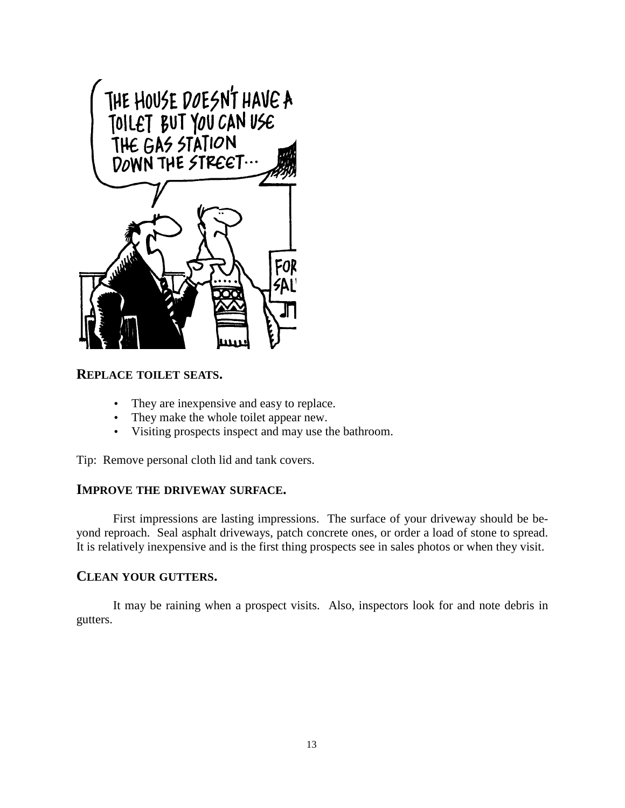

### **REPLACE TOILET SEATS.**

- They are inexpensive and easy to replace.
- They make the whole toilet appear new.
- Visiting prospects inspect and may use the bathroom.

Tip: Remove personal cloth lid and tank covers.

### **IMPROVE THE DRIVEWAY SURFACE.**

 First impressions are lasting impressions. The surface of your driveway should be beyond reproach. Seal asphalt driveways, patch concrete ones, or order a load of stone to spread. It is relatively inexpensive and is the first thing prospects see in sales photos or when they visit.

### **CLEAN YOUR GUTTERS.**

It may be raining when a prospect visits. Also, inspectors look for and note debris in gutters.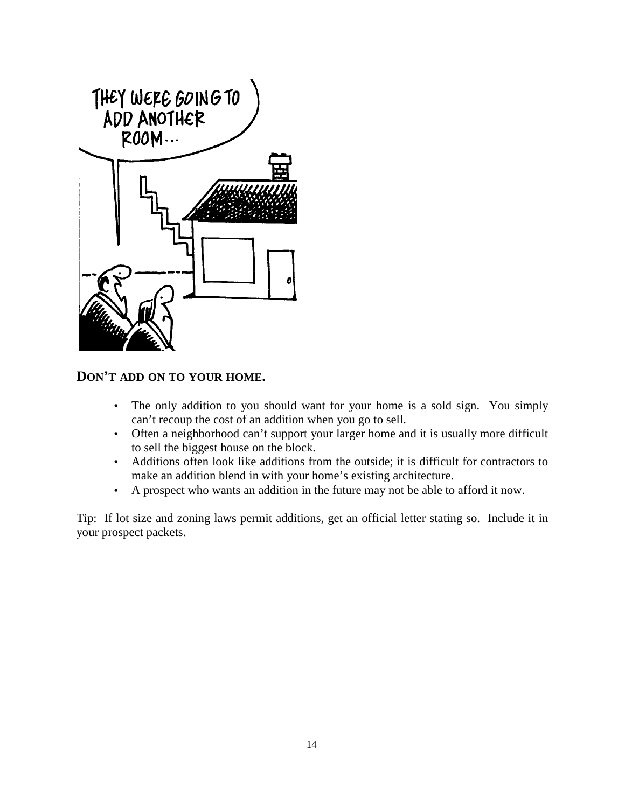

### **DON'T ADD ON TO YOUR HOME.**

- The only addition to you should want for your home is a sold sign. You simply can't recoup the cost of an addition when you go to sell.
- Often a neighborhood can't support your larger home and it is usually more difficult to sell the biggest house on the block.
- Additions often look like additions from the outside; it is difficult for contractors to make an addition blend in with your home's existing architecture.
- A prospect who wants an addition in the future may not be able to afford it now.

Tip: If lot size and zoning laws permit additions, get an official letter stating so. Include it in your prospect packets.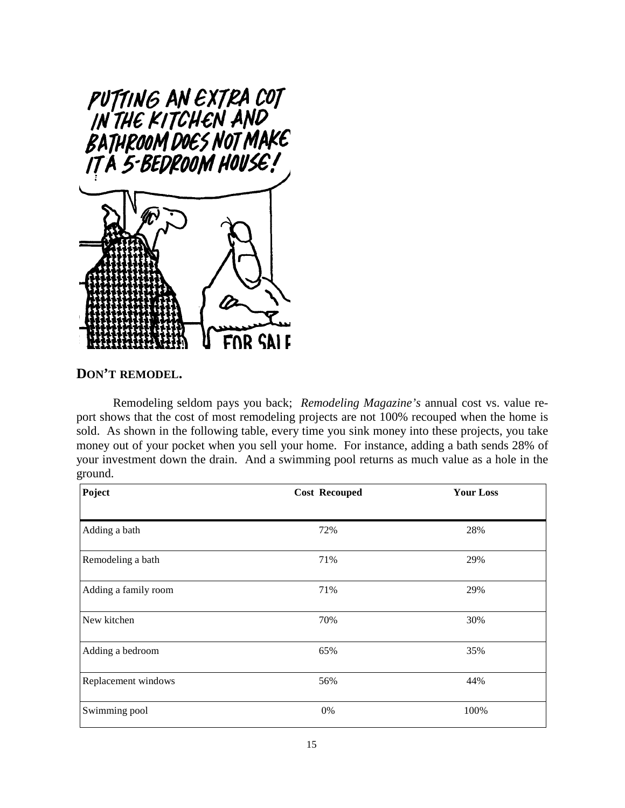

### **DON'T REMODEL.**

 Remodeling seldom pays you back; *Remodeling Magazine's* annual cost vs. value report shows that the cost of most remodeling projects are not 100% recouped when the home is sold. As shown in the following table, every time you sink money into these projects, you take money out of your pocket when you sell your home. For instance, adding a bath sends 28% of your investment down the drain. And a swimming pool returns as much value as a hole in the ground.

| Poject               | <b>Cost Recouped</b> | <b>Your Loss</b> |
|----------------------|----------------------|------------------|
|                      |                      |                  |
| Adding a bath        | 72%                  | 28%              |
| Remodeling a bath    | 71%                  | 29%              |
| Adding a family room | 71%                  | 29%              |
| New kitchen          | 70%                  | 30%              |
| Adding a bedroom     | 65%                  | 35%              |
| Replacement windows  | 56%                  | 44%              |
| Swimming pool        | 0%                   | 100%             |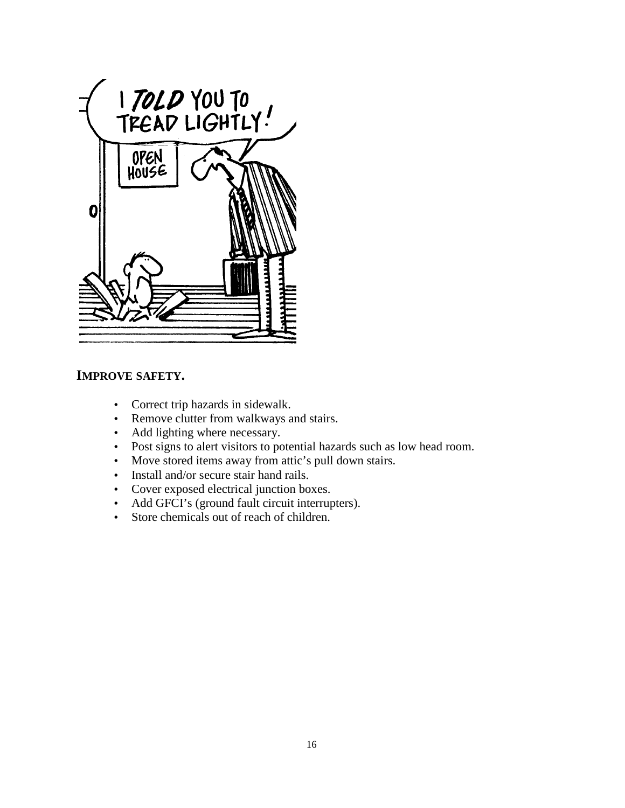

### **IMPROVE SAFETY.**

- Correct trip hazards in sidewalk.
- Remove clutter from walkways and stairs.
- Add lighting where necessary.
- Post signs to alert visitors to potential hazards such as low head room.
- Move stored items away from attic's pull down stairs.
- Install and/or secure stair hand rails.
- Cover exposed electrical junction boxes.
- Add GFCI's (ground fault circuit interrupters).
- Store chemicals out of reach of children.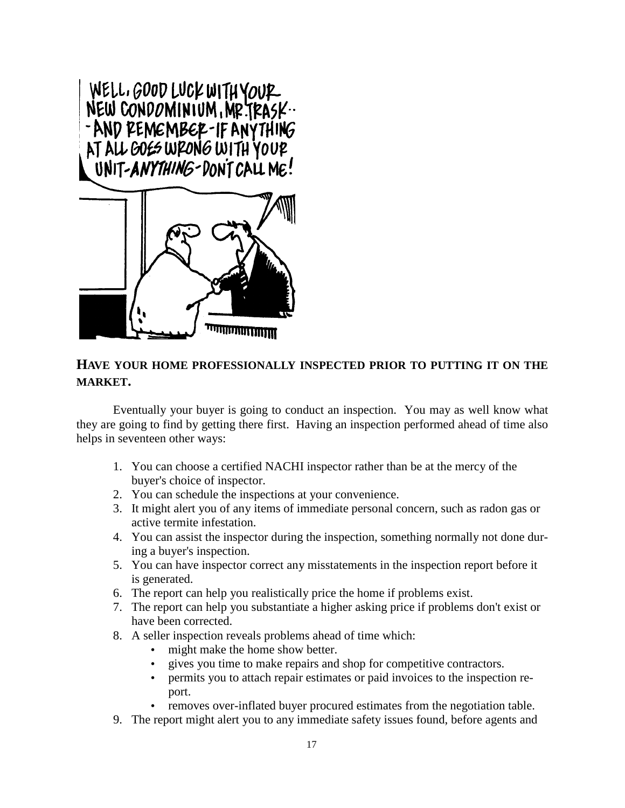

### **HAVE YOUR HOME PROFESSIONALLY INSPECTED PRIOR TO PUTTING IT ON THE MARKET.**

 Eventually your buyer is going to conduct an inspection. You may as well know what they are going to find by getting there first. Having an inspection performed ahead of time also helps in seventeen other ways:

- 1. You can choose a certified NACHI inspector rather than be at the mercy of the buyer's choice of inspector.
- 2. You can schedule the inspections at your convenience.
- 3. It might alert you of any items of immediate personal concern, such as radon gas or active termite infestation.
- 4. You can assist the inspector during the inspection, something normally not done during a buyer's inspection.
- 5. You can have inspector correct any misstatements in the inspection report before it is generated.
- 6. The report can help you realistically price the home if problems exist.
- 7. The report can help you substantiate a higher asking price if problems don't exist or have been corrected.
- 8. A seller inspection reveals problems ahead of time which:
	- might make the home show better.
	- gives you time to make repairs and shop for competitive contractors.
	- permits you to attach repair estimates or paid invoices to the inspection report.
	- removes over-inflated buyer procured estimates from the negotiation table.
- 9. The report might alert you to any immediate safety issues found, before agents and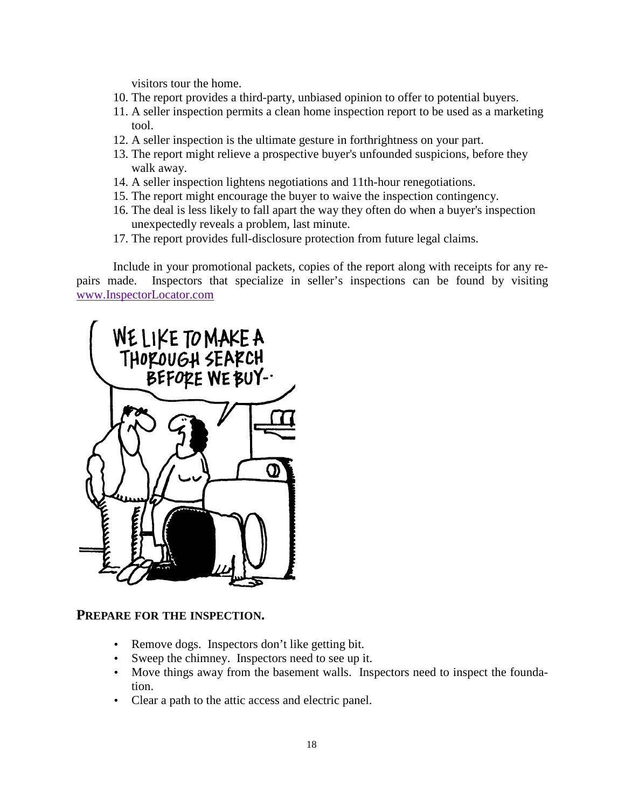visitors tour the home.

- 10. The report provides a third-party, unbiased opinion to offer to potential buyers.
- 11. A seller inspection permits a clean home inspection report to be used as a marketing tool.
- 12. A seller inspection is the ultimate gesture in forthrightness on your part.
- 13. The report might relieve a prospective buyer's unfounded suspicions, before they walk away.
- 14. A seller inspection lightens negotiations and 11th-hour renegotiations.
- 15. The report might encourage the buyer to waive the inspection contingency.
- 16. The deal is less likely to fall apart the way they often do when a buyer's inspection unexpectedly reveals a problem, last minute.
- 17. The report provides full-disclosure protection from future legal claims.

 Include in your promotional packets, copies of the report along with receipts for any repairs made. Inspectors that specialize in seller's inspections can be found by visiting www.InspectorLocator.com



### **PREPARE FOR THE INSPECTION.**

- Remove dogs. Inspectors don't like getting bit.
- Sweep the chimney. Inspectors need to see up it.
- Move things away from the basement walls. Inspectors need to inspect the foundation.
- Clear a path to the attic access and electric panel.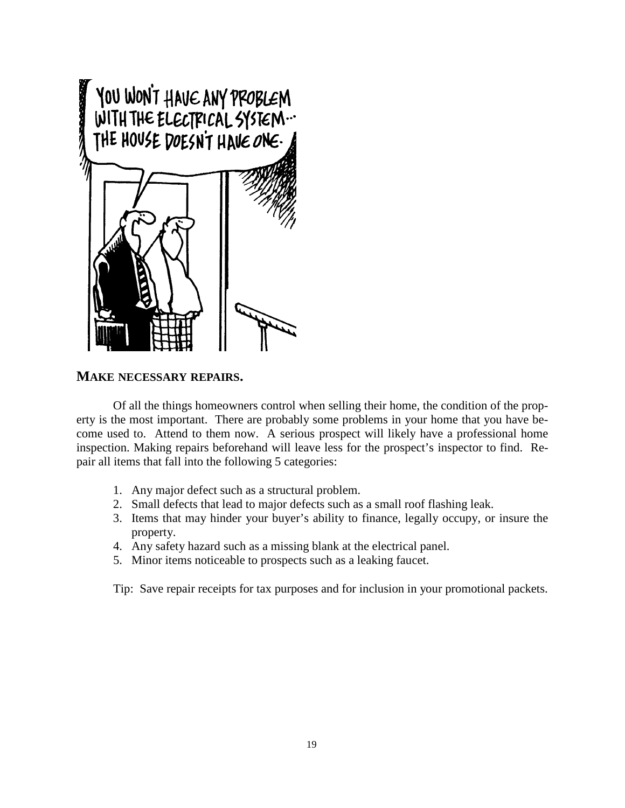

### **MAKE NECESSARY REPAIRS.**

Of all the things homeowners control when selling their home, the condition of the property is the most important. There are probably some problems in your home that you have become used to. Attend to them now. A serious prospect will likely have a professional home inspection. Making repairs beforehand will leave less for the prospect's inspector to find. Repair all items that fall into the following 5 categories:

- 1. Any major defect such as a structural problem.
- 2. Small defects that lead to major defects such as a small roof flashing leak.
- 3. Items that may hinder your buyer's ability to finance, legally occupy, or insure the property.
- 4. Any safety hazard such as a missing blank at the electrical panel.
- 5. Minor items noticeable to prospects such as a leaking faucet.

Tip: Save repair receipts for tax purposes and for inclusion in your promotional packets.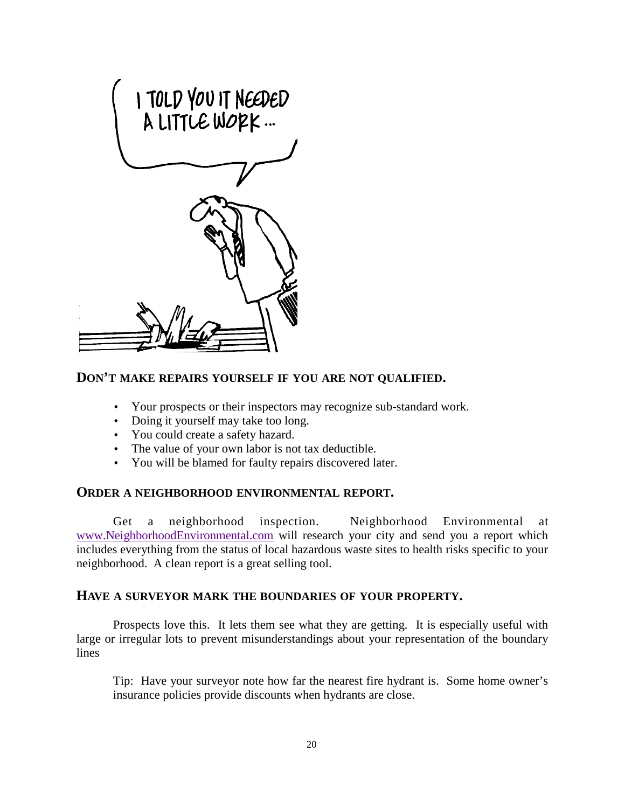

### **DON'T MAKE REPAIRS YOURSELF IF YOU ARE NOT QUALIFIED.**

- Your prospects or their inspectors may recognize sub-standard work.
- Doing it yourself may take too long.
- You could create a safety hazard.
- The value of your own labor is not tax deductible.
- You will be blamed for faulty repairs discovered later.

### **ORDER A NEIGHBORHOOD ENVIRONMENTAL REPORT.**

Get a neighborhood inspection. Neighborhood Environmental at www.NeighborhoodEnvironmental.com will research your city and send you a report which includes everything from the status of local hazardous waste sites to health risks specific to your neighborhood. A clean report is a great selling tool.

### **HAVE A SURVEYOR MARK THE BOUNDARIES OF YOUR PROPERTY.**

Prospects love this. It lets them see what they are getting. It is especially useful with large or irregular lots to prevent misunderstandings about your representation of the boundary lines

Tip: Have your surveyor note how far the nearest fire hydrant is. Some home owner's insurance policies provide discounts when hydrants are close.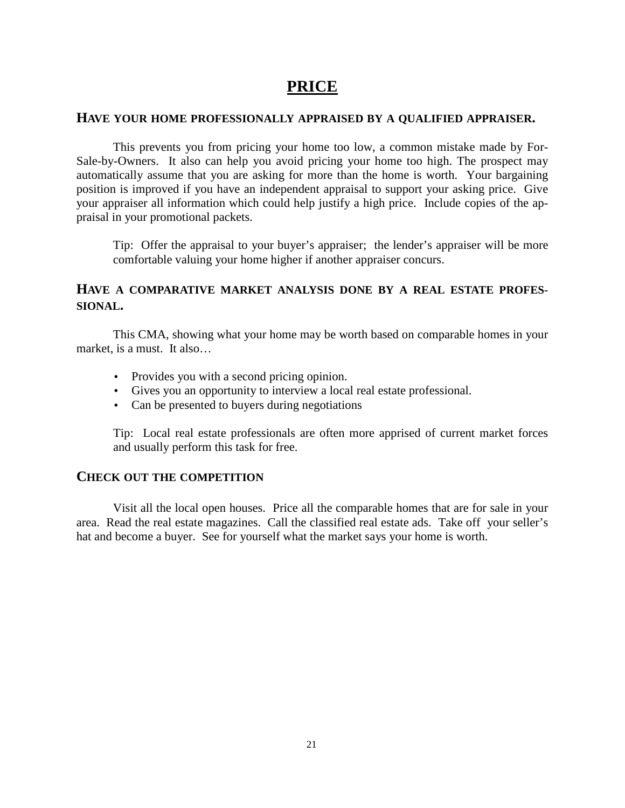# **PRICE**

#### **HAVE YOUR HOME PROFESSIONALLY APPRAISED BY A QUALIFIED APPRAISER.**

 This prevents you from pricing your home too low, a common mistake made by For-Sale-by-Owners. It also can help you avoid pricing your home too high. The prospect may automatically assume that you are asking for more than the home is worth. Your bargaining position is improved if you have an independent appraisal to support your asking price. Give your appraiser all information which could help justify a high price. Include copies of the appraisal in your promotional packets.

Tip: Offer the appraisal to your buyer's appraiser; the lender's appraiser will be more comfortable valuing your home higher if another appraiser concurs.

### **HAVE A COMPARATIVE MARKET ANALYSIS DONE BY A REAL ESTATE PROFES-SIONAL.**

 This CMA, showing what your home may be worth based on comparable homes in your market, is a must. It also…

- Provides you with a second pricing opinion.
- Gives you an opportunity to interview a local real estate professional.
- Can be presented to buyers during negotiations

Tip: Local real estate professionals are often more apprised of current market forces and usually perform this task for free.

### **CHECK OUT THE COMPETITION**

Visit all the local open houses. Price all the comparable homes that are for sale in your area. Read the real estate magazines. Call the classified real estate ads. Take off your seller's hat and become a buyer. See for yourself what the market says your home is worth.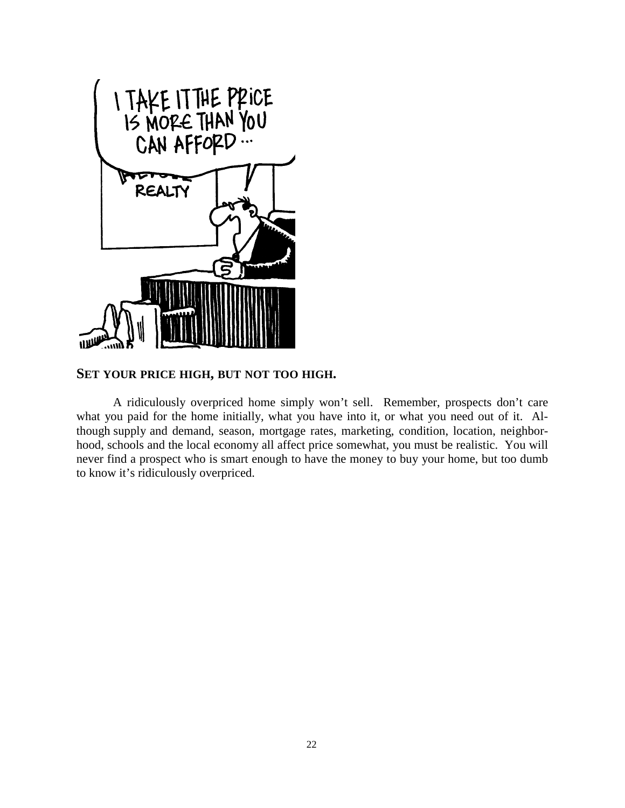

### **SET YOUR PRICE HIGH, BUT NOT TOO HIGH.**

A ridiculously overpriced home simply won't sell. Remember, prospects don't care what you paid for the home initially, what you have into it, or what you need out of it. Although supply and demand, season, mortgage rates, marketing, condition, location, neighborhood, schools and the local economy all affect price somewhat, you must be realistic. You will never find a prospect who is smart enough to have the money to buy your home, but too dumb to know it's ridiculously overpriced.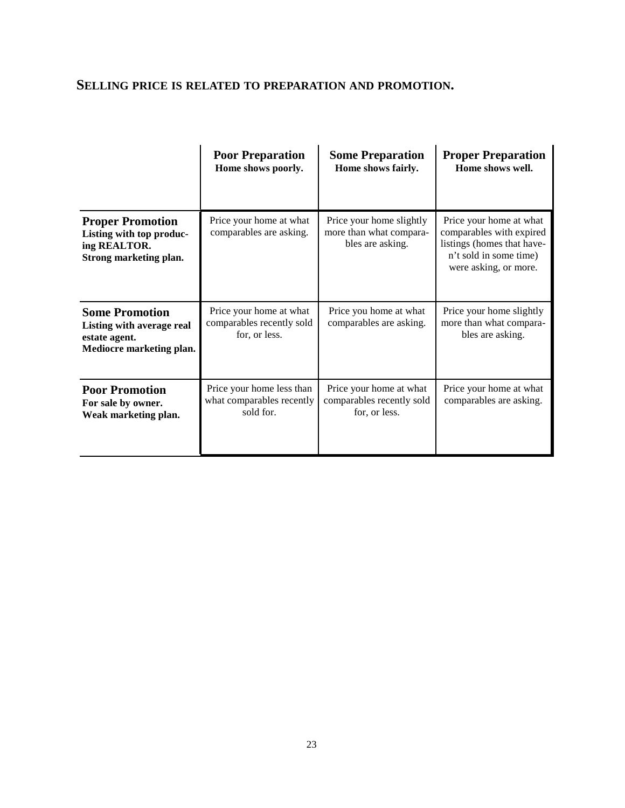## **SELLING PRICE IS RELATED TO PREPARATION AND PROMOTION.**

|                                                                                                 | <b>Poor Preparation</b><br>Home shows poorly.                         | <b>Some Preparation</b><br>Home shows fairly.                           | <b>Proper Preparation</b><br>Home shows well.                                                                                        |
|-------------------------------------------------------------------------------------------------|-----------------------------------------------------------------------|-------------------------------------------------------------------------|--------------------------------------------------------------------------------------------------------------------------------------|
| <b>Proper Promotion</b><br>Listing with top produc-<br>ing REALTOR.<br>Strong marketing plan.   | Price your home at what<br>comparables are asking.                    | Price your home slightly<br>more than what compara-<br>bles are asking. | Price your home at what<br>comparables with expired<br>listings (homes that have-<br>n't sold in some time)<br>were asking, or more. |
| <b>Some Promotion</b><br>Listing with average real<br>estate agent.<br>Mediocre marketing plan. | Price your home at what<br>comparables recently sold<br>for, or less. | Price you home at what<br>comparables are asking.                       | Price your home slightly<br>more than what compara-<br>bles are asking.                                                              |
| <b>Poor Promotion</b><br>For sale by owner.<br>Weak marketing plan.                             | Price your home less than<br>what comparables recently<br>sold for.   | Price your home at what<br>comparables recently sold<br>for, or less.   | Price your home at what<br>comparables are asking.                                                                                   |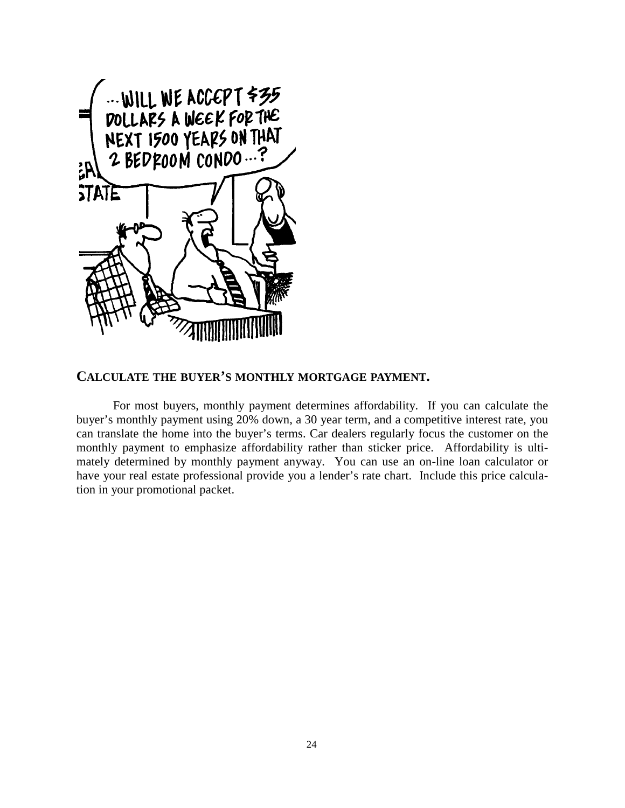

### **CALCULATE THE BUYER'S MONTHLY MORTGAGE PAYMENT.**

 For most buyers, monthly payment determines affordability. If you can calculate the buyer's monthly payment using 20% down, a 30 year term, and a competitive interest rate, you can translate the home into the buyer's terms. Car dealers regularly focus the customer on the monthly payment to emphasize affordability rather than sticker price. Affordability is ultimately determined by monthly payment anyway. You can use an on-line loan calculator or have your real estate professional provide you a lender's rate chart. Include this price calculation in your promotional packet.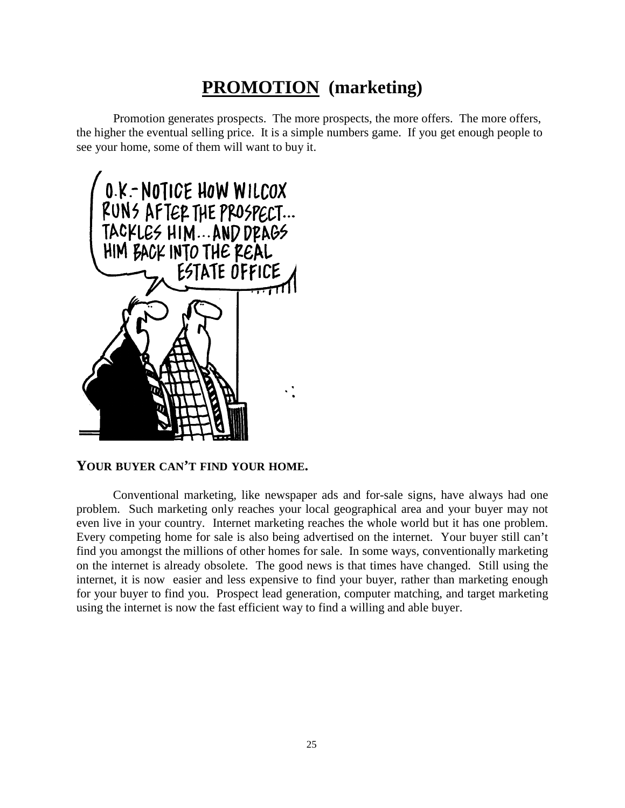# **PROMOTION (marketing)**

 Promotion generates prospects. The more prospects, the more offers. The more offers, the higher the eventual selling price. It is a simple numbers game. If you get enough people to see your home, some of them will want to buy it.



### **YOUR BUYER CAN'T FIND YOUR HOME.**

 Conventional marketing, like newspaper ads and for-sale signs, have always had one problem. Such marketing only reaches your local geographical area and your buyer may not even live in your country. Internet marketing reaches the whole world but it has one problem. Every competing home for sale is also being advertised on the internet. Your buyer still can't find you amongst the millions of other homes for sale. In some ways, conventionally marketing on the internet is already obsolete. The good news is that times have changed. Still using the internet, it is now easier and less expensive to find your buyer, rather than marketing enough for your buyer to find you. Prospect lead generation, computer matching, and target marketing using the internet is now the fast efficient way to find a willing and able buyer.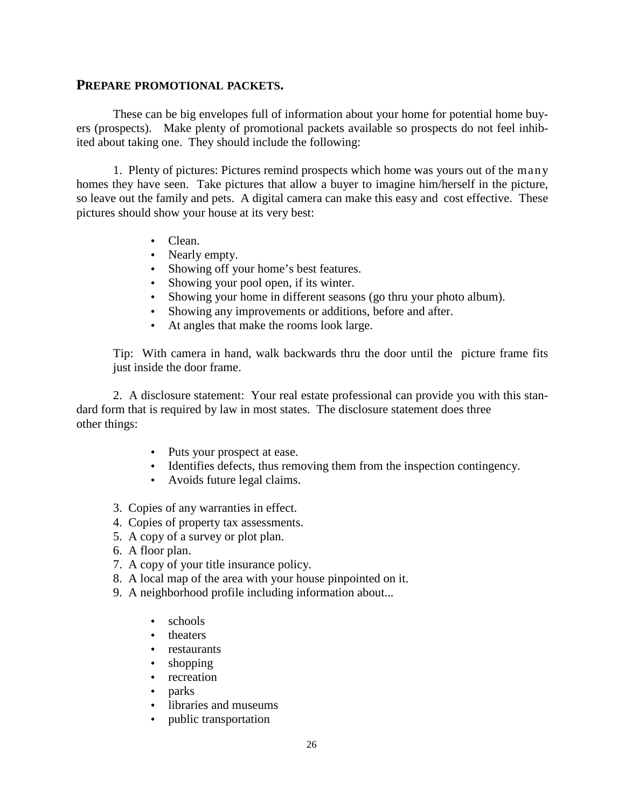### **PREPARE PROMOTIONAL PACKETS.**

These can be big envelopes full of information about your home for potential home buyers (prospects). Make plenty of promotional packets available so prospects do not feel inhibited about taking one. They should include the following:

 1. Plenty of pictures: Pictures remind prospects which home was yours out of the many homes they have seen. Take pictures that allow a buyer to imagine him/herself in the picture, so leave out the family and pets. A digital camera can make this easy and cost effective. These pictures should show your house at its very best:

- Clean.
- Nearly empty.
- Showing off your home's best features.
- Showing your pool open, if its winter.
- Showing your home in different seasons (go thru your photo album).
- Showing any improvements or additions, before and after.
- At angles that make the rooms look large.

Tip: With camera in hand, walk backwards thru the door until the picture frame fits just inside the door frame.

 2. A disclosure statement: Your real estate professional can provide you with this standard form that is required by law in most states. The disclosure statement does three other things:

- Puts your prospect at ease.
- Identifies defects, thus removing them from the inspection contingency.
- Avoids future legal claims.
- 3. Copies of any warranties in effect.
- 4. Copies of property tax assessments.
- 5. A copy of a survey or plot plan.
- 6. A floor plan.
- 7. A copy of your title insurance policy.
- 8. A local map of the area with your house pinpointed on it.
- 9. A neighborhood profile including information about...
	- schools
	- theaters
	- restaurants
	- shopping
	- recreation
	- parks
	- libraries and museums
	- public transportation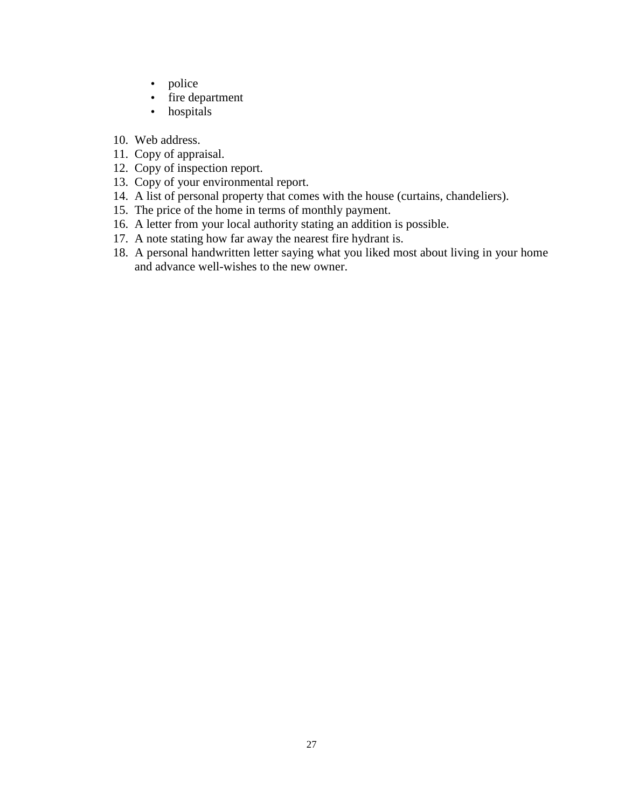- police
- fire department
- hospitals
- 10. Web address.
- 11. Copy of appraisal.
- 12. Copy of inspection report.
- 13. Copy of your environmental report.
- 14. A list of personal property that comes with the house (curtains, chandeliers).
- 15. The price of the home in terms of monthly payment.
- 16. A letter from your local authority stating an addition is possible.
- 17. A note stating how far away the nearest fire hydrant is.
- 18. A personal handwritten letter saying what you liked most about living in your home and advance well-wishes to the new owner.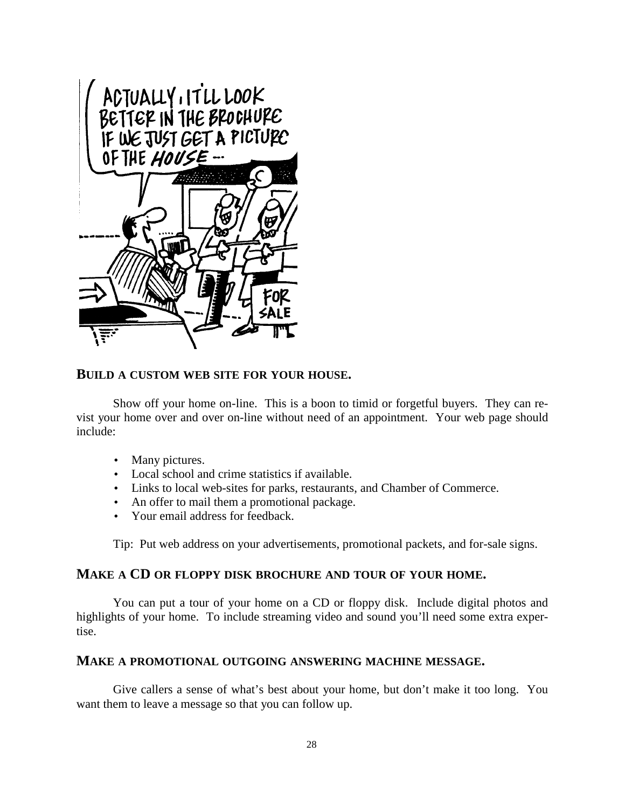

### **BUILD A CUSTOM WEB SITE FOR YOUR HOUSE.**

 Show off your home on-line. This is a boon to timid or forgetful buyers. They can revist your home over and over on-line without need of an appointment. Your web page should include:

- Many pictures.
- Local school and crime statistics if available.
- Links to local web-sites for parks, restaurants, and Chamber of Commerce.
- An offer to mail them a promotional package.
- Your email address for feedback.

Tip: Put web address on your advertisements, promotional packets, and for-sale signs.

### **MAKE A CD OR FLOPPY DISK BROCHURE AND TOUR OF YOUR HOME.**

 You can put a tour of your home on a CD or floppy disk. Include digital photos and highlights of your home. To include streaming video and sound you'll need some extra expertise.

### **MAKE A PROMOTIONAL OUTGOING ANSWERING MACHINE MESSAGE.**

 Give callers a sense of what's best about your home, but don't make it too long. You want them to leave a message so that you can follow up.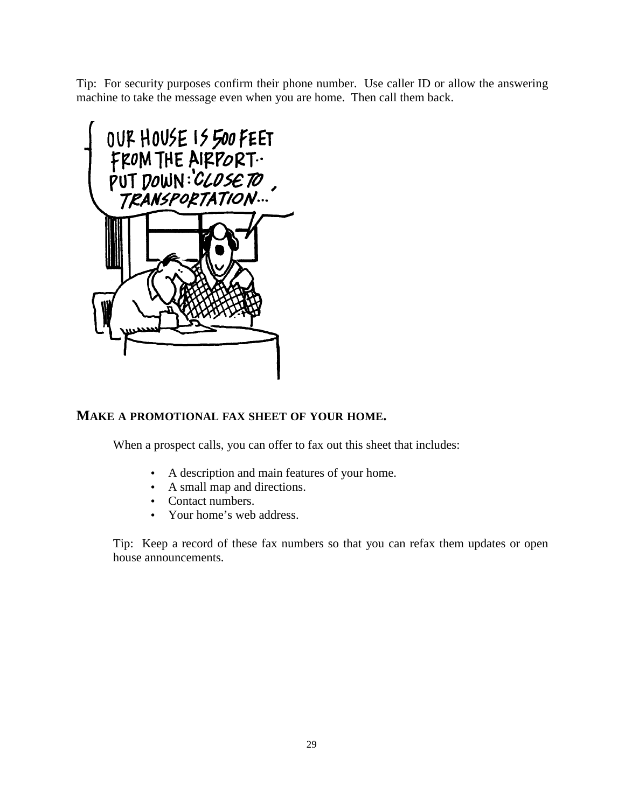Tip: For security purposes confirm their phone number. Use caller ID or allow the answering machine to take the message even when you are home. Then call them back.



### **MAKE A PROMOTIONAL FAX SHEET OF YOUR HOME.**

When a prospect calls, you can offer to fax out this sheet that includes:

- A description and main features of your home.
- A small map and directions.
- Contact numbers.
- Your home's web address.

Tip: Keep a record of these fax numbers so that you can refax them updates or open house announcements.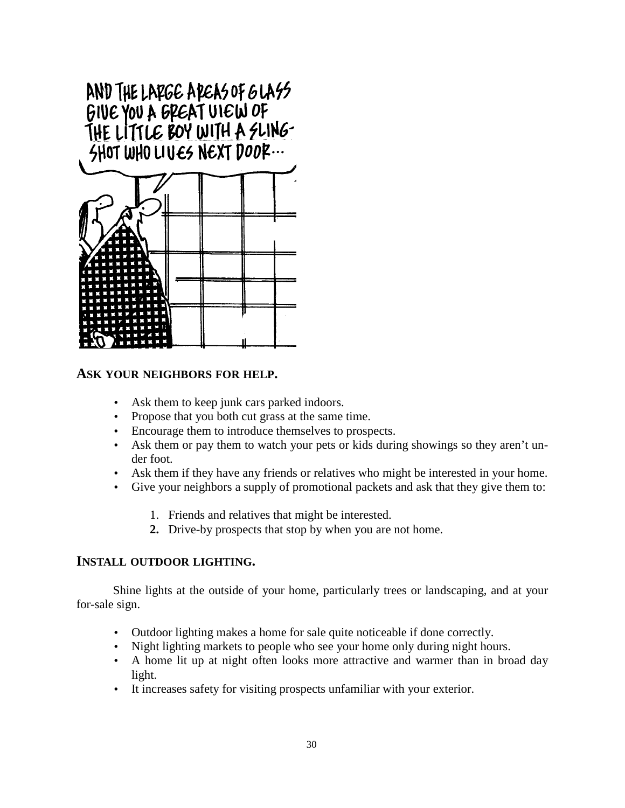# AND THE LAPGE APEAS OF GLASS GIVE YOU A GREAT VIEW OF SHOT WHO LIVES NEXT DOOR ...



### **ASK YOUR NEIGHBORS FOR HELP.**

- Ask them to keep junk cars parked indoors.
- Propose that you both cut grass at the same time.
- Encourage them to introduce themselves to prospects.
- Ask them or pay them to watch your pets or kids during showings so they aren't under foot.
- Ask them if they have any friends or relatives who might be interested in your home.
- Give your neighbors a supply of promotional packets and ask that they give them to:
	- 1. Friends and relatives that might be interested.
	- **2.** Drive-by prospects that stop by when you are not home.

### **INSTALL OUTDOOR LIGHTING.**

 Shine lights at the outside of your home, particularly trees or landscaping, and at your for-sale sign.

- Outdoor lighting makes a home for sale quite noticeable if done correctly.
- Night lighting markets to people who see your home only during night hours.
- A home lit up at night often looks more attractive and warmer than in broad day light.
- It increases safety for visiting prospects unfamiliar with your exterior.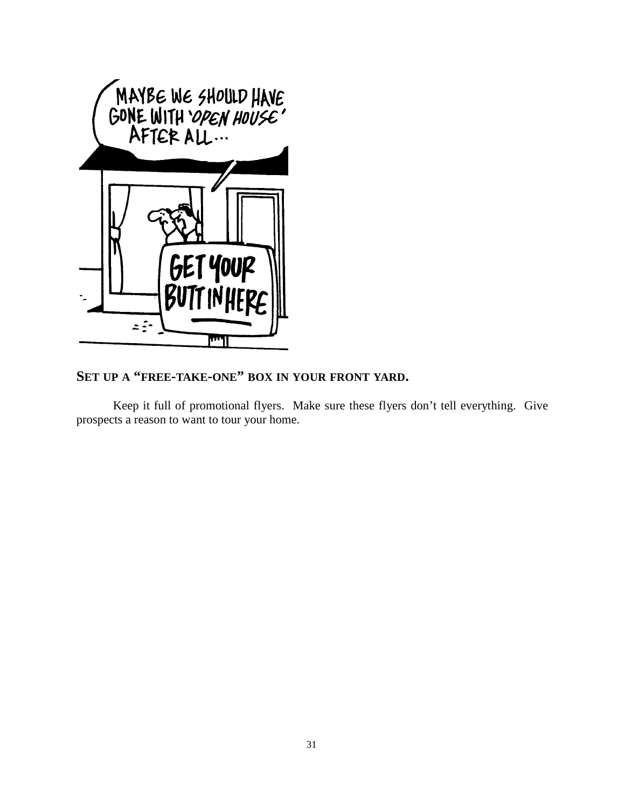

**SET UP A "FREE-TAKE-ONE" BOX IN YOUR FRONT YARD.** 

 Keep it full of promotional flyers. Make sure these flyers don't tell everything. Give prospects a reason to want to tour your home.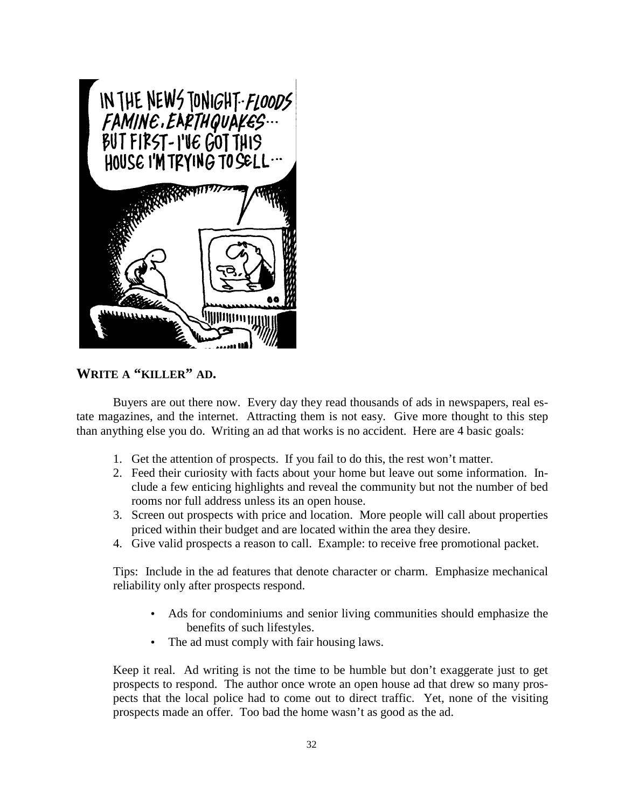

**WRITE A "KILLER" AD.** 

 Buyers are out there now. Every day they read thousands of ads in newspapers, real estate magazines, and the internet. Attracting them is not easy. Give more thought to this step than anything else you do. Writing an ad that works is no accident. Here are 4 basic goals:

- 1. Get the attention of prospects. If you fail to do this, the rest won't matter.
- 2. Feed their curiosity with facts about your home but leave out some information. Include a few enticing highlights and reveal the community but not the number of bed rooms nor full address unless its an open house.
- 3. Screen out prospects with price and location. More people will call about properties priced within their budget and are located within the area they desire.
- 4. Give valid prospects a reason to call. Example: to receive free promotional packet.

Tips: Include in the ad features that denote character or charm. Emphasize mechanical reliability only after prospects respond.

- Ads for condominiums and senior living communities should emphasize the benefits of such lifestyles.
- The ad must comply with fair housing laws.

Keep it real. Ad writing is not the time to be humble but don't exaggerate just to get prospects to respond. The author once wrote an open house ad that drew so many prospects that the local police had to come out to direct traffic. Yet, none of the visiting prospects made an offer. Too bad the home wasn't as good as the ad.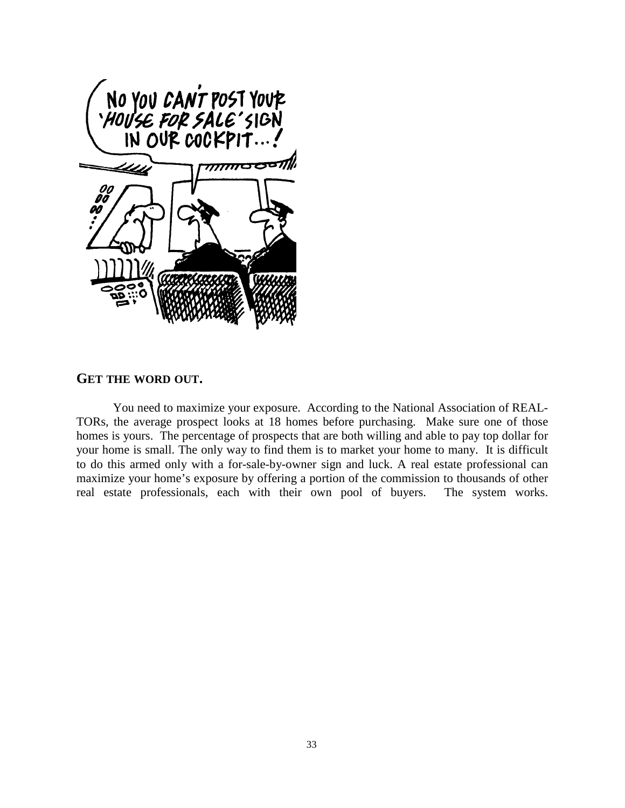

### **GET THE WORD OUT.**

You need to maximize your exposure. According to the National Association of REAL-TORs, the average prospect looks at 18 homes before purchasing. Make sure one of those homes is yours. The percentage of prospects that are both willing and able to pay top dollar for your home is small. The only way to find them is to market your home to many. It is difficult to do this armed only with a for-sale-by-owner sign and luck. A real estate professional can maximize your home's exposure by offering a portion of the commission to thousands of other real estate professionals, each with their own pool of buyers. The system works.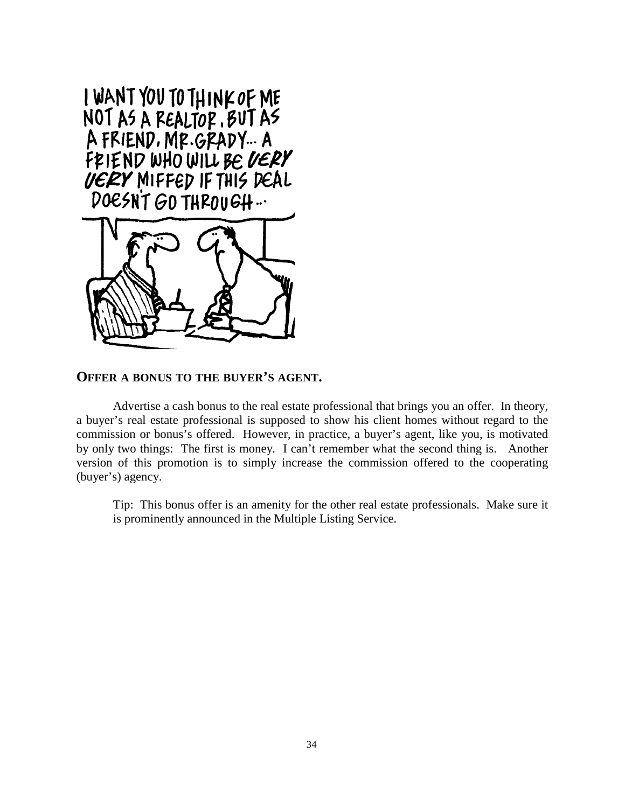

**OFFER A BONUS TO THE BUYER'S AGENT.** 

 Advertise a cash bonus to the real estate professional that brings you an offer. In theory, a buyer's real estate professional is supposed to show his client homes without regard to the commission or bonus's offered. However, in practice, a buyer's agent, like you, is motivated by only two things: The first is money. I can't remember what the second thing is. Another version of this promotion is to simply increase the commission offered to the cooperating (buyer's) agency.

Tip: This bonus offer is an amenity for the other real estate professionals. Make sure it is prominently announced in the Multiple Listing Service.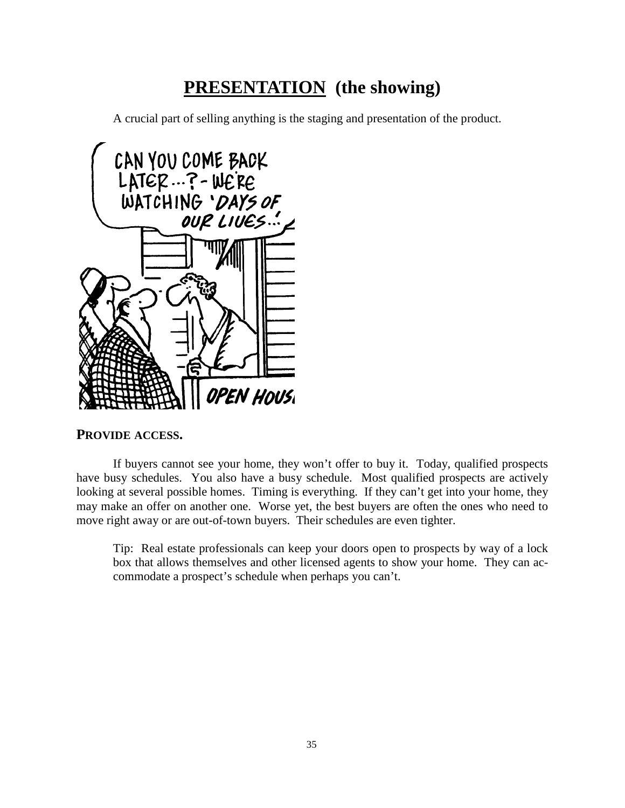# **PRESENTATION (the showing)**

A crucial part of selling anything is the staging and presentation of the product.



### **PROVIDE ACCESS.**

 If buyers cannot see your home, they won't offer to buy it. Today, qualified prospects have busy schedules. You also have a busy schedule. Most qualified prospects are actively looking at several possible homes. Timing is everything. If they can't get into your home, they may make an offer on another one. Worse yet, the best buyers are often the ones who need to move right away or are out-of-town buyers. Their schedules are even tighter.

Tip: Real estate professionals can keep your doors open to prospects by way of a lock box that allows themselves and other licensed agents to show your home. They can accommodate a prospect's schedule when perhaps you can't.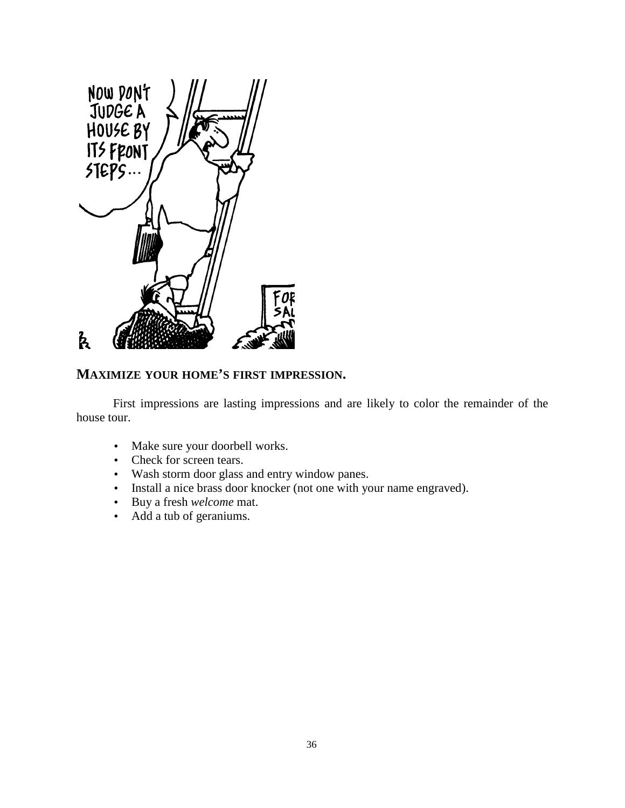

## **MAXIMIZE YOUR HOME'S FIRST IMPRESSION.**

First impressions are lasting impressions and are likely to color the remainder of the house tour.

- Make sure your doorbell works.
- Check for screen tears.
- Wash storm door glass and entry window panes.
- Install a nice brass door knocker (not one with your name engraved).
- Buy a fresh *welcome* mat.
- Add a tub of geraniums.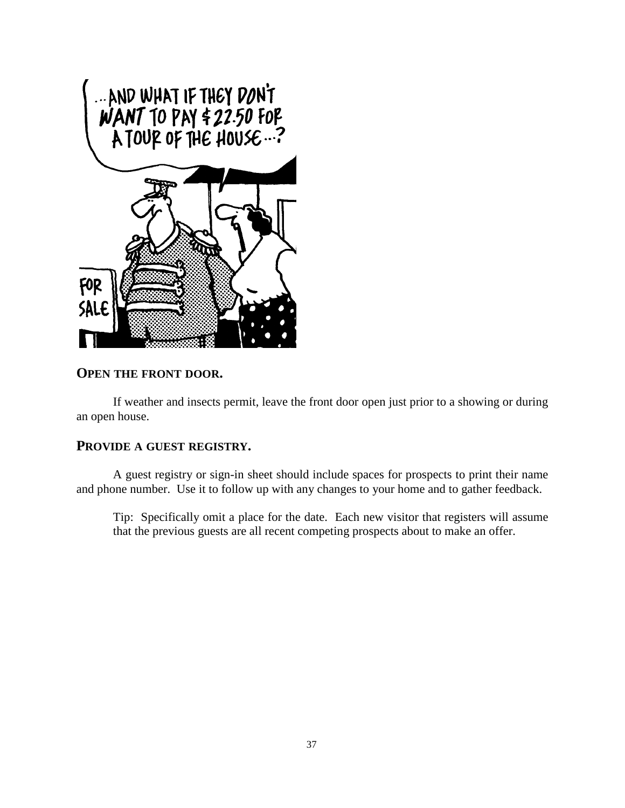

### **OPEN THE FRONT DOOR.**

If weather and insects permit, leave the front door open just prior to a showing or during an open house.

### **PROVIDE A GUEST REGISTRY.**

 A guest registry or sign-in sheet should include spaces for prospects to print their name and phone number. Use it to follow up with any changes to your home and to gather feedback.

Tip: Specifically omit a place for the date. Each new visitor that registers will assume that the previous guests are all recent competing prospects about to make an offer.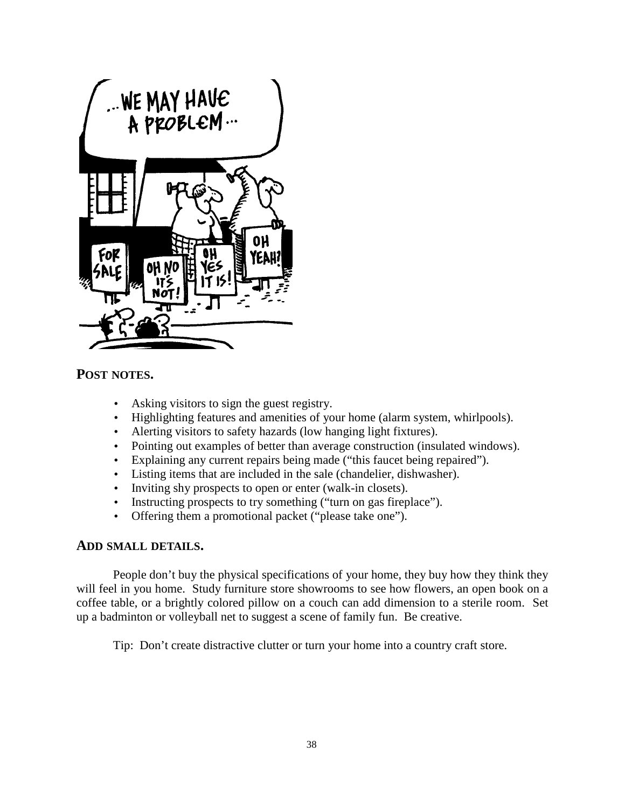

### **POST NOTES.**

- Asking visitors to sign the guest registry.
- Highlighting features and amenities of your home (alarm system, whirlpools).
- Alerting visitors to safety hazards (low hanging light fixtures).
- Pointing out examples of better than average construction (insulated windows).
- Explaining any current repairs being made ("this faucet being repaired").
- Listing items that are included in the sale (chandelier, dishwasher).
- Inviting shy prospects to open or enter (walk-in closets).
- Instructing prospects to try something ("turn on gas fireplace").
- Offering them a promotional packet ("please take one").

### **ADD SMALL DETAILS.**

People don't buy the physical specifications of your home, they buy how they think they will feel in you home. Study furniture store showrooms to see how flowers, an open book on a coffee table, or a brightly colored pillow on a couch can add dimension to a sterile room. Set up a badminton or volleyball net to suggest a scene of family fun. Be creative.

Tip: Don't create distractive clutter or turn your home into a country craft store.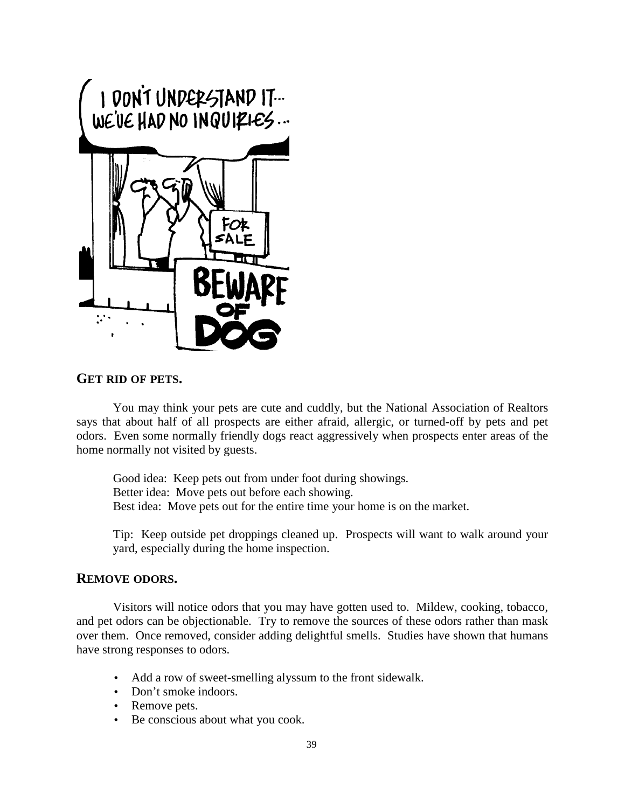

### **GET RID OF PETS.**

 You may think your pets are cute and cuddly, but the National Association of Realtors says that about half of all prospects are either afraid, allergic, or turned-off by pets and pet odors. Even some normally friendly dogs react aggressively when prospects enter areas of the home normally not visited by guests.

 Good idea: Keep pets out from under foot during showings. Better idea: Move pets out before each showing. Best idea: Move pets out for the entire time your home is on the market.

Tip: Keep outside pet droppings cleaned up. Prospects will want to walk around your yard, especially during the home inspection.

### **REMOVE ODORS.**

 Visitors will notice odors that you may have gotten used to. Mildew, cooking, tobacco, and pet odors can be objectionable. Try to remove the sources of these odors rather than mask over them. Once removed, consider adding delightful smells. Studies have shown that humans have strong responses to odors.

- Add a row of sweet-smelling alyssum to the front sidewalk.
- Don't smoke indoors.
- Remove pets.
- Be conscious about what you cook.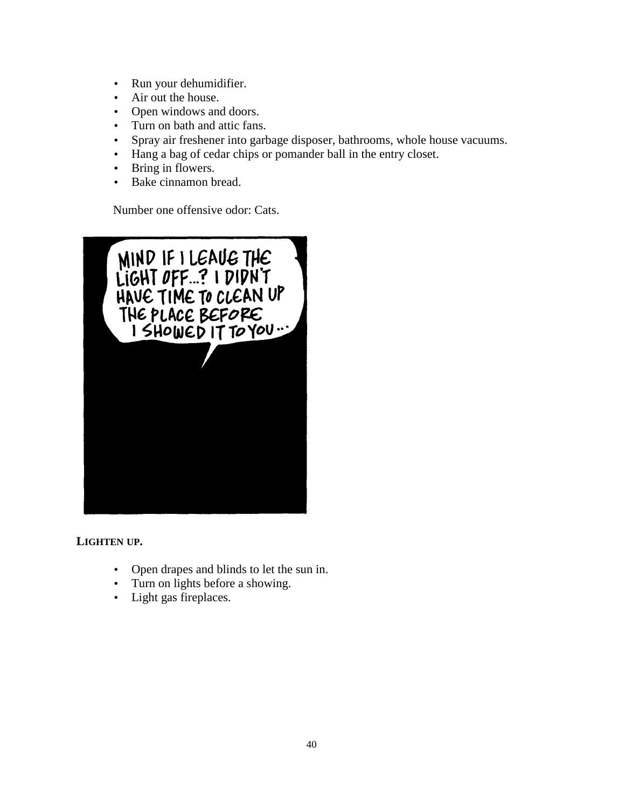- Run your dehumidifier.
- Air out the house.
- Open windows and doors.
- Turn on bath and attic fans.
- Spray air freshener into garbage disposer, bathrooms, whole house vacuums.
- Hang a bag of cedar chips or pomander ball in the entry closet.
- Bring in flowers.
- Bake cinnamon bread.

Number one offensive odor: Cats.



**LIGHTEN UP.**

- Open drapes and blinds to let the sun in.
- Turn on lights before a showing.
- Light gas fireplaces.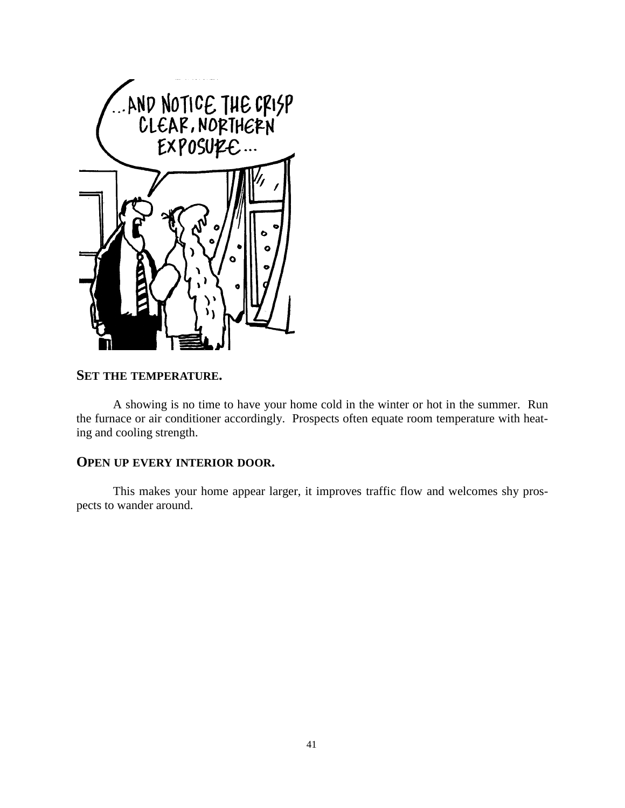

### **SET THE TEMPERATURE.**

 A showing is no time to have your home cold in the winter or hot in the summer. Run the furnace or air conditioner accordingly. Prospects often equate room temperature with heating and cooling strength.

### **OPEN UP EVERY INTERIOR DOOR.**

 This makes your home appear larger, it improves traffic flow and welcomes shy prospects to wander around.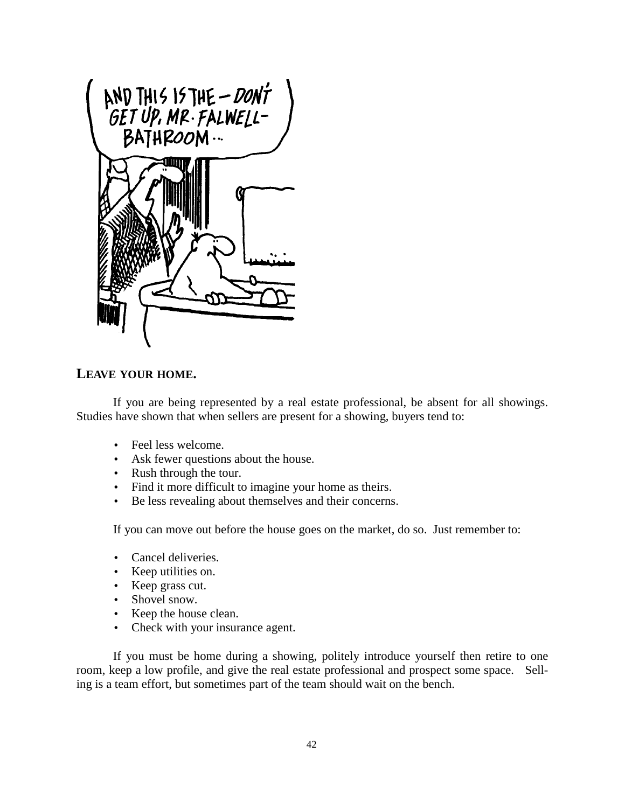

### **LEAVE YOUR HOME.**

 If you are being represented by a real estate professional, be absent for all showings. Studies have shown that when sellers are present for a showing, buyers tend to:

- Feel less welcome.
- Ask fewer questions about the house.
- Rush through the tour.
- Find it more difficult to imagine your home as theirs.
- Be less revealing about themselves and their concerns.

If you can move out before the house goes on the market, do so. Just remember to:

- Cancel deliveries.
- Keep utilities on.
- Keep grass cut.
- Shovel snow.
- Keep the house clean.
- Check with your insurance agent.

 If you must be home during a showing, politely introduce yourself then retire to one room, keep a low profile, and give the real estate professional and prospect some space. Selling is a team effort, but sometimes part of the team should wait on the bench.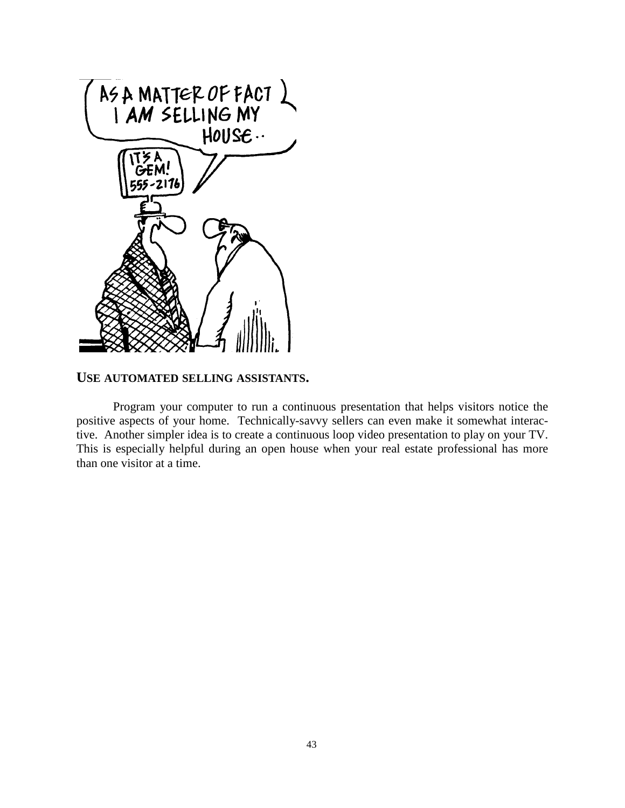

### **USE AUTOMATED SELLING ASSISTANTS.**

 Program your computer to run a continuous presentation that helps visitors notice the positive aspects of your home. Technically-savvy sellers can even make it somewhat interactive. Another simpler idea is to create a continuous loop video presentation to play on your TV. This is especially helpful during an open house when your real estate professional has more than one visitor at a time.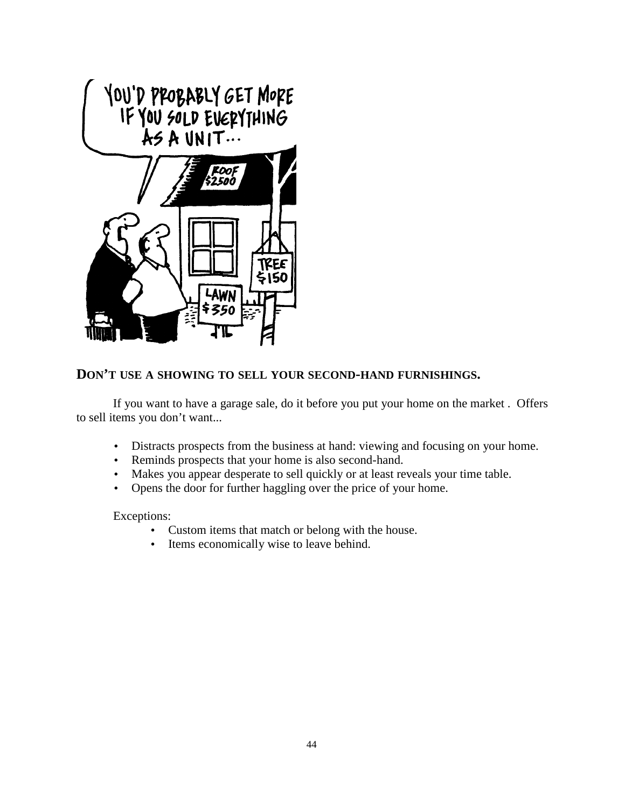

### **DON'T USE A SHOWING TO SELL YOUR SECOND-HAND FURNISHINGS.**

If you want to have a garage sale, do it before you put your home on the market . Offers to sell items you don't want...

- Distracts prospects from the business at hand: viewing and focusing on your home.
- Reminds prospects that your home is also second-hand.
- Makes you appear desperate to sell quickly or at least reveals your time table.
- Opens the door for further haggling over the price of your home.

Exceptions:

- Custom items that match or belong with the house.
- Items economically wise to leave behind.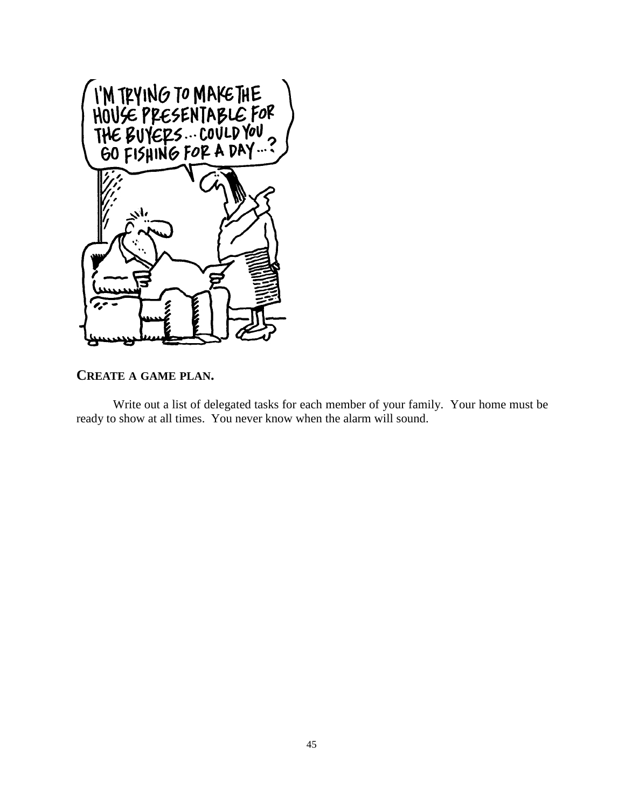

### **CREATE A GAME PLAN.**

Write out a list of delegated tasks for each member of your family. Your home must be ready to show at all times. You never know when the alarm will sound.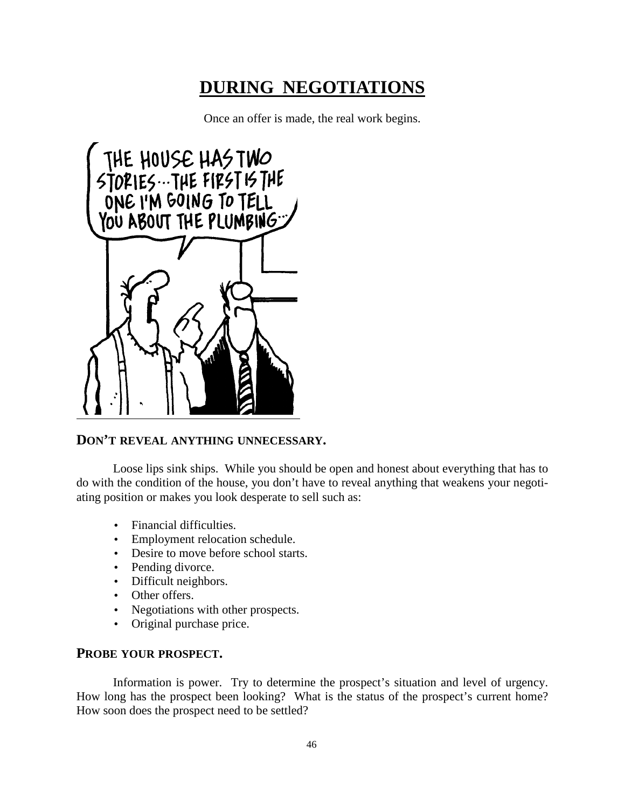# **DURING NEGOTIATIONS**

Once an offer is made, the real work begins.



### **DON'T REVEAL ANYTHING UNNECESSARY.**

 Loose lips sink ships. While you should be open and honest about everything that has to do with the condition of the house, you don't have to reveal anything that weakens your negotiating position or makes you look desperate to sell such as:

- Financial difficulties.
- Employment relocation schedule.
- Desire to move before school starts.
- Pending divorce.
- Difficult neighbors.
- Other offers.
- Negotiations with other prospects.
- Original purchase price.

### **PROBE YOUR PROSPECT.**

 Information is power. Try to determine the prospect's situation and level of urgency. How long has the prospect been looking? What is the status of the prospect's current home? How soon does the prospect need to be settled?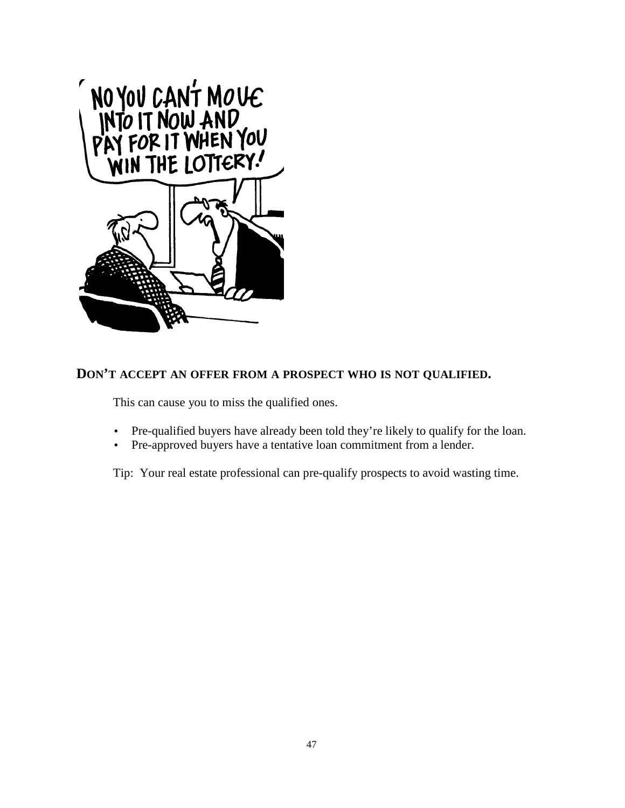

# **DON'T ACCEPT AN OFFER FROM A PROSPECT WHO IS NOT QUALIFIED.**

This can cause you to miss the qualified ones.

- Pre-qualified buyers have already been told they're likely to qualify for the loan.
- Pre-approved buyers have a tentative loan commitment from a lender.

Tip: Your real estate professional can pre-qualify prospects to avoid wasting time.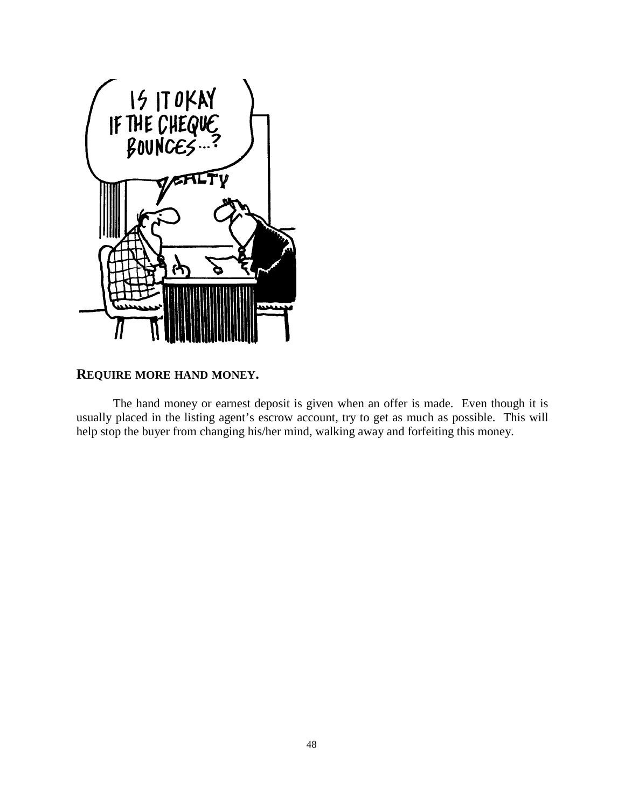

## **REQUIRE MORE HAND MONEY.**

 The hand money or earnest deposit is given when an offer is made. Even though it is usually placed in the listing agent's escrow account, try to get as much as possible. This will help stop the buyer from changing his/her mind, walking away and forfeiting this money.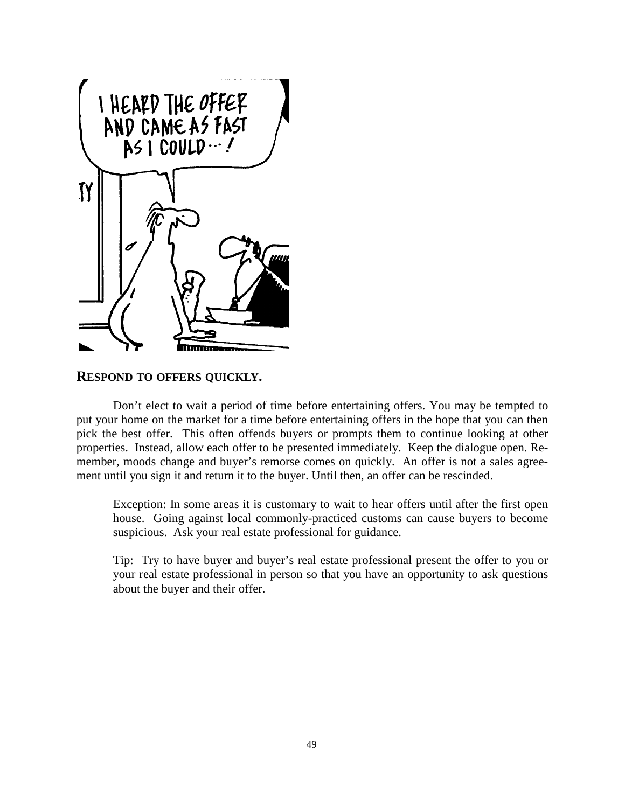

### **RESPOND TO OFFERS QUICKLY.**

 Don't elect to wait a period of time before entertaining offers. You may be tempted to put your home on the market for a time before entertaining offers in the hope that you can then pick the best offer. This often offends buyers or prompts them to continue looking at other properties. Instead, allow each offer to be presented immediately. Keep the dialogue open. Remember, moods change and buyer's remorse comes on quickly. An offer is not a sales agreement until you sign it and return it to the buyer. Until then, an offer can be rescinded.

Exception: In some areas it is customary to wait to hear offers until after the first open house. Going against local commonly-practiced customs can cause buyers to become suspicious. Ask your real estate professional for guidance.

Tip: Try to have buyer and buyer's real estate professional present the offer to you or your real estate professional in person so that you have an opportunity to ask questions about the buyer and their offer.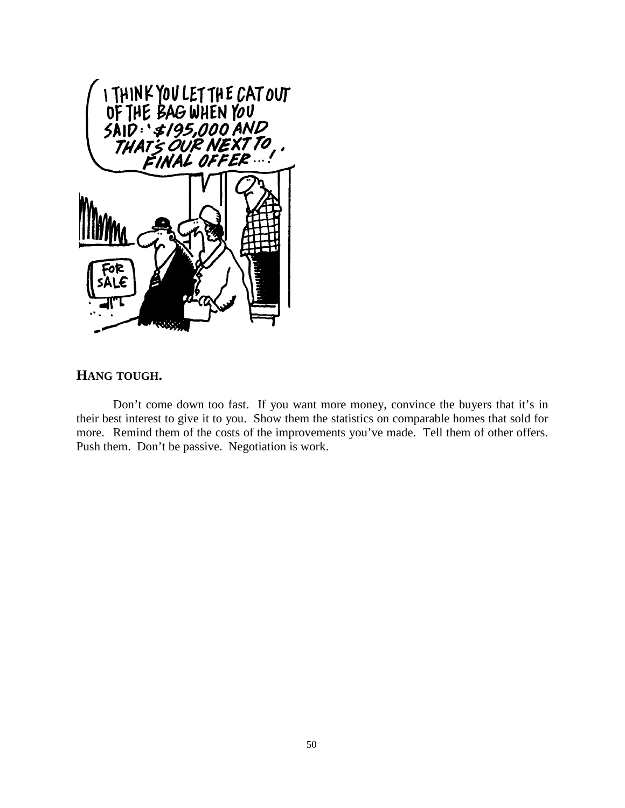

### **HANG TOUGH.**

 Don't come down too fast. If you want more money, convince the buyers that it's in their best interest to give it to you. Show them the statistics on comparable homes that sold for more. Remind them of the costs of the improvements you've made. Tell them of other offers. Push them. Don't be passive. Negotiation is work.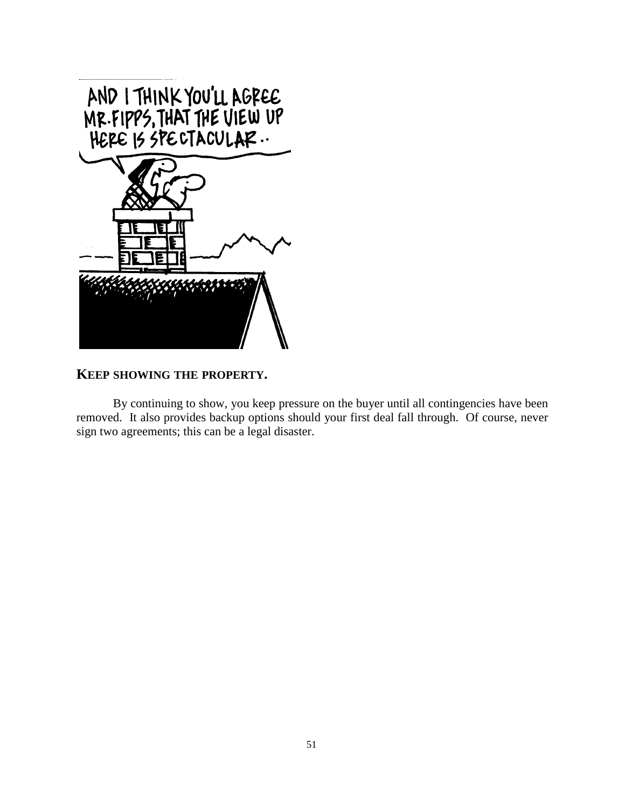

### **KEEP SHOWING THE PROPERTY.**

 By continuing to show, you keep pressure on the buyer until all contingencies have been removed. It also provides backup options should your first deal fall through. Of course, never sign two agreements; this can be a legal disaster.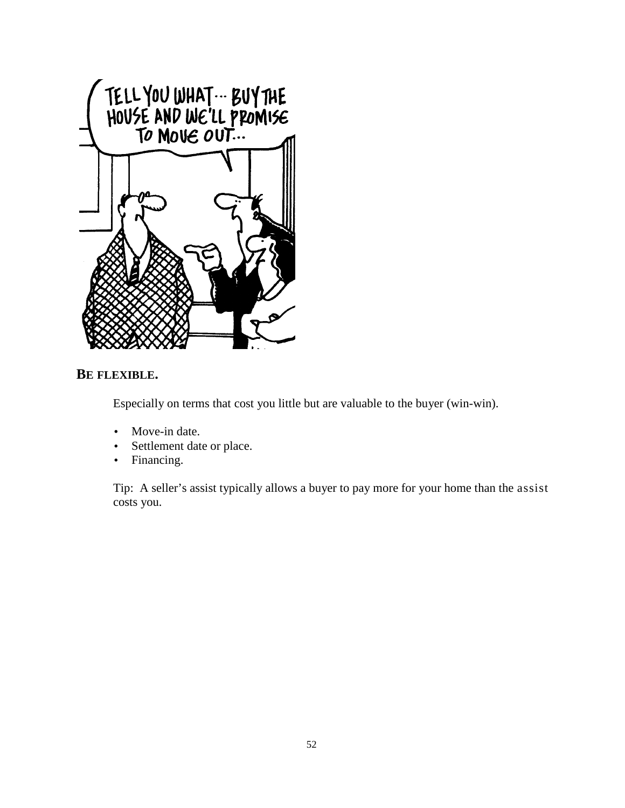

## **BE FLEXIBLE.**

Especially on terms that cost you little but are valuable to the buyer (win-win).

- Move-in date.
- Settlement date or place.
- Financing.

Tip: A seller's assist typically allows a buyer to pay more for your home than the assist costs you.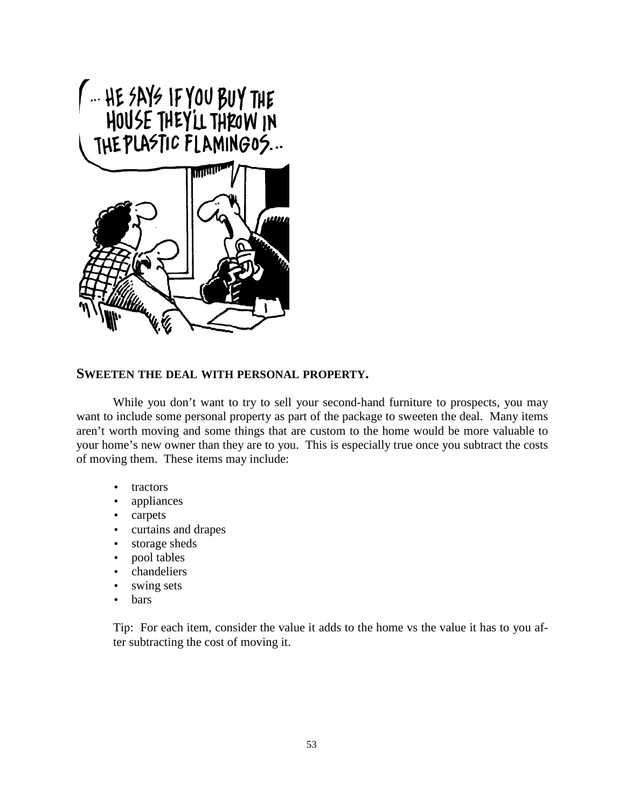

### **SWEETEN THE DEAL WITH PERSONAL PROPERTY.**

While you don't want to try to sell your second-hand furniture to prospects, you may want to include some personal property as part of the package to sweeten the deal. Many items aren't worth moving and some things that are custom to the home would be more valuable to your home's new owner than they are to you. This is especially true once you subtract the costs of moving them. These items may include:

- tractors
- appliances
- carpets
- curtains and drapes
- storage sheds
- pool tables
- chandeliers
- swing sets
- **bars**

Tip: For each item, consider the value it adds to the home vs the value it has to you after subtracting the cost of moving it.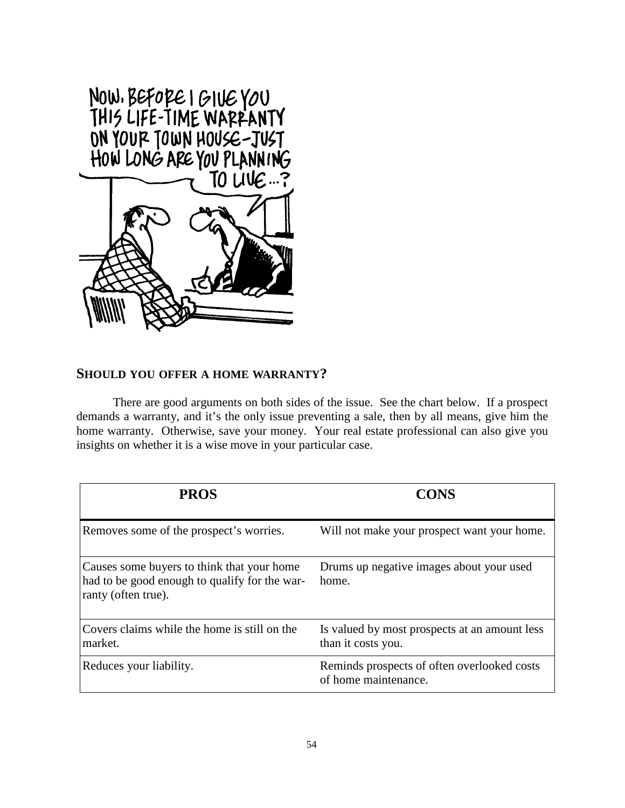

### **SHOULD YOU OFFER A HOME WARRANTY?**

 There are good arguments on both sides of the issue. See the chart below. If a prospect demands a warranty, and it's the only issue preventing a sale, then by all means, give him the home warranty. Otherwise, save your money. Your real estate professional can also give you insights on whether it is a wise move in your particular case.

| <b>PROS</b>                                                                                                        | <b>CONS</b>                                                         |
|--------------------------------------------------------------------------------------------------------------------|---------------------------------------------------------------------|
| Removes some of the prospect's worries.                                                                            | Will not make your prospect want your home.                         |
| Causes some buyers to think that your home<br>had to be good enough to qualify for the war-<br>ranty (often true). | Drums up negative images about your used<br>home.                   |
| Covers claims while the home is still on the<br>market.                                                            | Is valued by most prospects at an amount less<br>than it costs you. |
| Reduces your liability.                                                                                            | Reminds prospects of often overlooked costs<br>of home maintenance. |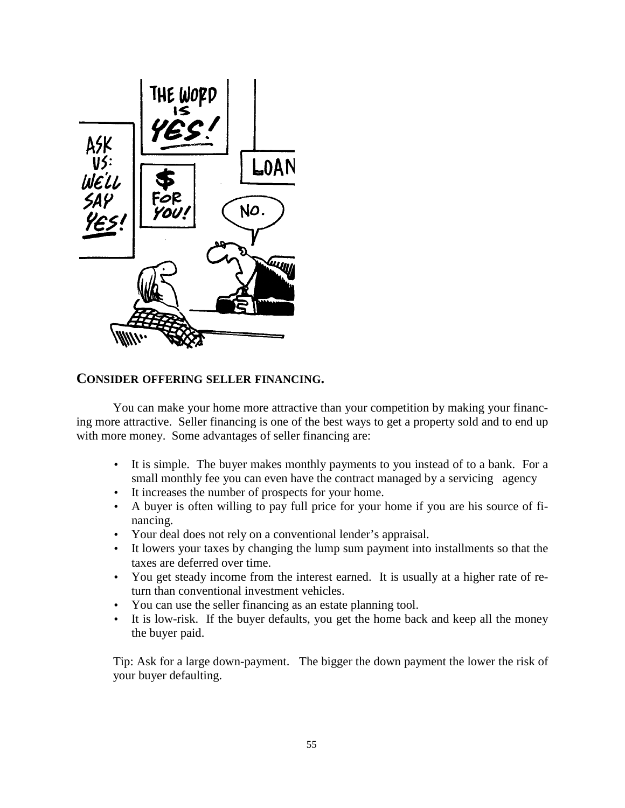

### **CONSIDER OFFERING SELLER FINANCING.**

 You can make your home more attractive than your competition by making your financing more attractive. Seller financing is one of the best ways to get a property sold and to end up with more money. Some advantages of seller financing are:

- It is simple. The buyer makes monthly payments to you instead of to a bank. For a small monthly fee you can even have the contract managed by a servicing agency
- It increases the number of prospects for your home.
- A buyer is often willing to pay full price for your home if you are his source of financing.
- Your deal does not rely on a conventional lender's appraisal.
- It lowers your taxes by changing the lump sum payment into installments so that the taxes are deferred over time.
- You get steady income from the interest earned. It is usually at a higher rate of return than conventional investment vehicles.
- You can use the seller financing as an estate planning tool.
- It is low-risk. If the buyer defaults, you get the home back and keep all the money the buyer paid.

Tip: Ask for a large down-payment. The bigger the down payment the lower the risk of your buyer defaulting.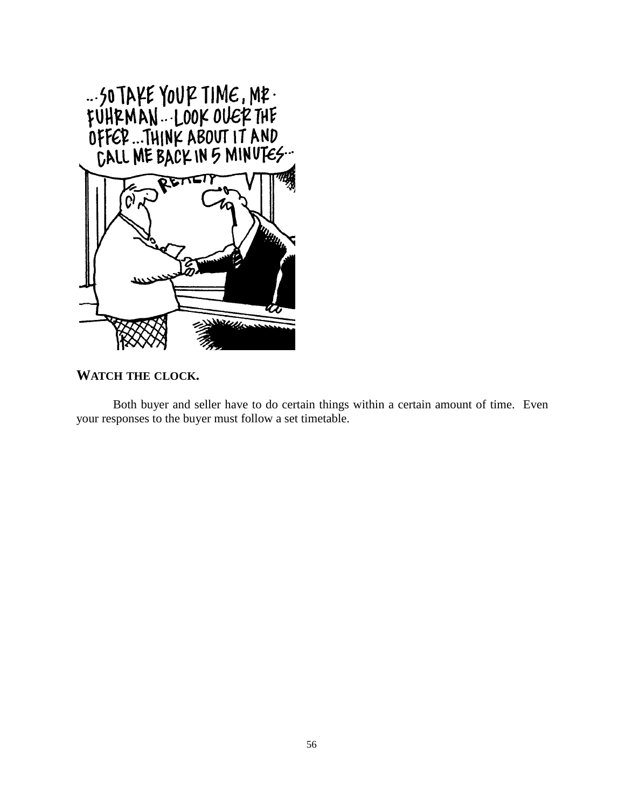

## **WATCH THE CLOCK.**

 Both buyer and seller have to do certain things within a certain amount of time. Even your responses to the buyer must follow a set timetable.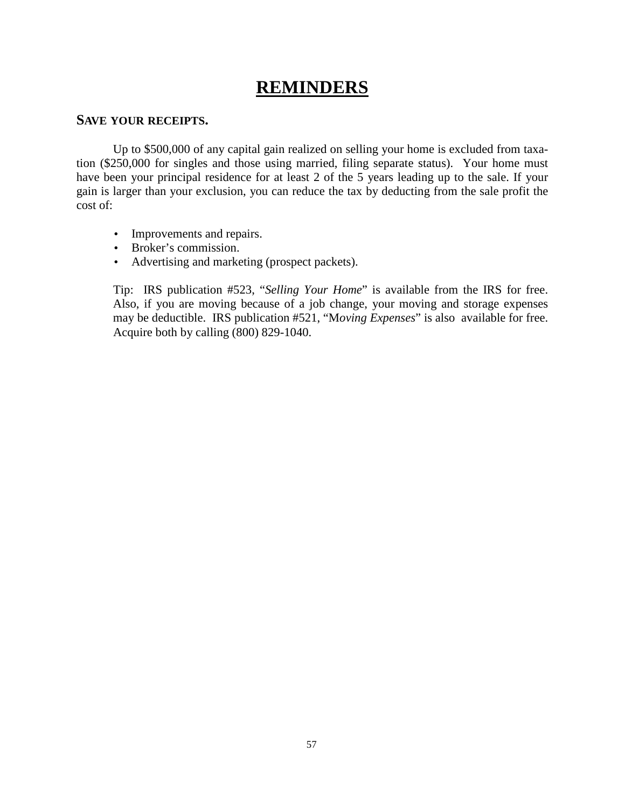# **REMINDERS**

### **SAVE YOUR RECEIPTS.**

 Up to \$500,000 of any capital gain realized on selling your home is excluded from taxation (\$250,000 for singles and those using married, filing separate status). Your home must have been your principal residence for at least 2 of the 5 years leading up to the sale. If your gain is larger than your exclusion, you can reduce the tax by deducting from the sale profit the cost of:

- Improvements and repairs.
- Broker's commission.
- Advertising and marketing (prospect packets).

Tip: IRS publication #523, "*Selling Your Home*" is available from the IRS for free. Also, if you are moving because of a job change, your moving and storage expenses may be deductible. IRS publication #521, "M*oving Expenses*" is also available for free. Acquire both by calling (800) 829-1040.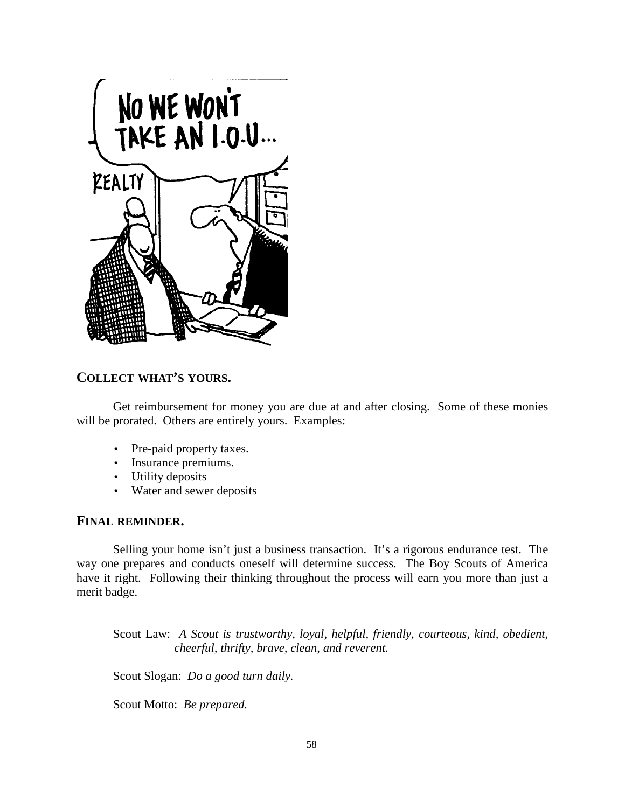

### **COLLECT WHAT'S YOURS.**

 Get reimbursement for money you are due at and after closing. Some of these monies will be prorated. Others are entirely yours. Examples:

- Pre-paid property taxes.
- Insurance premiums.
- Utility deposits
- Water and sewer deposits

### **FINAL REMINDER.**

Selling your home isn't just a business transaction. It's a rigorous endurance test. The way one prepares and conducts oneself will determine success. The Boy Scouts of America have it right. Following their thinking throughout the process will earn you more than just a merit badge.

 Scout Law: *A Scout is trustworthy, loyal, helpful, friendly, courteous, kind, obedient, cheerful, thrifty, brave, clean, and reverent.* 

Scout Slogan: *Do a good turn daily.*

Scout Motto: *Be prepared.*